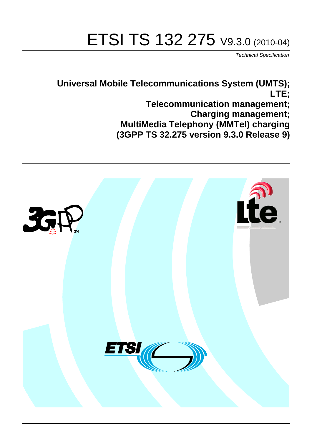# ETSI TS 132 275 V9.3.0 (2010-04)

*Technical Specification*

**Universal Mobile Telecommunications System (UMTS); LTE; Telecommunication management; Charging management; MultiMedia Telephony (MMTel) charging (3GPP TS 32.275 version 9.3.0 Release 9)**

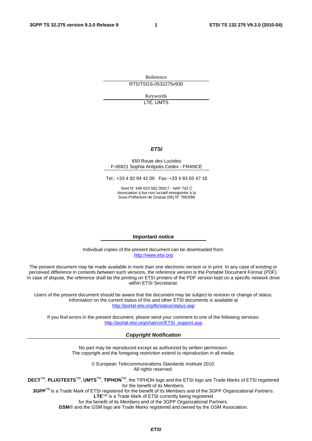Reference RTS/TSGS-0532275v930

> Keywords LTE, UMTS

#### *ETSI*

#### 650 Route des Lucioles F-06921 Sophia Antipolis Cedex - FRANCE

Tel.: +33 4 92 94 42 00 Fax: +33 4 93 65 47 16

Siret N° 348 623 562 00017 - NAF 742 C Association à but non lucratif enregistrée à la Sous-Préfecture de Grasse (06) N° 7803/88

#### *Important notice*

Individual copies of the present document can be downloaded from: [http://www.etsi.org](http://www.etsi.org/)

The present document may be made available in more than one electronic version or in print. In any case of existing or perceived difference in contents between such versions, the reference version is the Portable Document Format (PDF). In case of dispute, the reference shall be the printing on ETSI printers of the PDF version kept on a specific network drive within ETSI Secretariat.

Users of the present document should be aware that the document may be subject to revision or change of status. Information on the current status of this and other ETSI documents is available at <http://portal.etsi.org/tb/status/status.asp>

If you find errors in the present document, please send your comment to one of the following services: [http://portal.etsi.org/chaircor/ETSI\\_support.asp](http://portal.etsi.org/chaircor/ETSI_support.asp)

#### *Copyright Notification*

No part may be reproduced except as authorized by written permission. The copyright and the foregoing restriction extend to reproduction in all media.

> © European Telecommunications Standards Institute 2010. All rights reserved.

**DECT**TM, **PLUGTESTS**TM, **UMTS**TM, **TIPHON**TM, the TIPHON logo and the ETSI logo are Trade Marks of ETSI registered for the benefit of its Members.

**3GPP**TM is a Trade Mark of ETSI registered for the benefit of its Members and of the 3GPP Organizational Partners. **LTE**™ is a Trade Mark of ETSI currently being registered

for the benefit of its Members and of the 3GPP Organizational Partners.

**GSM**® and the GSM logo are Trade Marks registered and owned by the GSM Association.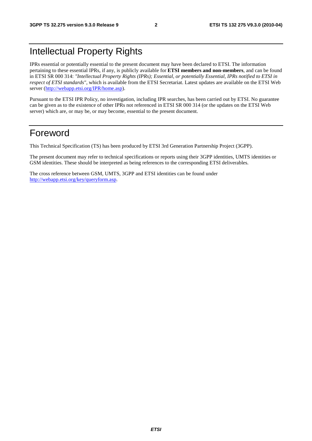### Intellectual Property Rights

IPRs essential or potentially essential to the present document may have been declared to ETSI. The information pertaining to these essential IPRs, if any, is publicly available for **ETSI members and non-members**, and can be found in ETSI SR 000 314: *"Intellectual Property Rights (IPRs); Essential, or potentially Essential, IPRs notified to ETSI in respect of ETSI standards"*, which is available from the ETSI Secretariat. Latest updates are available on the ETSI Web server [\(http://webapp.etsi.org/IPR/home.asp\)](http://webapp.etsi.org/IPR/home.asp).

Pursuant to the ETSI IPR Policy, no investigation, including IPR searches, has been carried out by ETSI. No guarantee can be given as to the existence of other IPRs not referenced in ETSI SR 000 314 (or the updates on the ETSI Web server) which are, or may be, or may become, essential to the present document.

### Foreword

This Technical Specification (TS) has been produced by ETSI 3rd Generation Partnership Project (3GPP).

The present document may refer to technical specifications or reports using their 3GPP identities, UMTS identities or GSM identities. These should be interpreted as being references to the corresponding ETSI deliverables.

The cross reference between GSM, UMTS, 3GPP and ETSI identities can be found under [http://webapp.etsi.org/key/queryform.asp.](http://webapp.etsi.org/key/queryform.asp)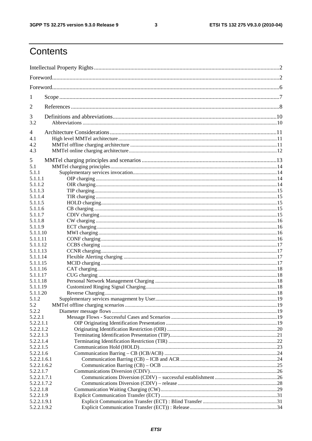$\mathbf{3}$ 

## Contents

| 1                          |  |  |  |
|----------------------------|--|--|--|
| $\overline{2}$             |  |  |  |
| 3                          |  |  |  |
| 3.2                        |  |  |  |
| 4                          |  |  |  |
| 4.1                        |  |  |  |
| 4.2                        |  |  |  |
| 4.3                        |  |  |  |
| 5                          |  |  |  |
| 5.1                        |  |  |  |
| 5.1.1                      |  |  |  |
| 5.1.1.1                    |  |  |  |
| 5.1.1.2                    |  |  |  |
| 5.1.1.3                    |  |  |  |
| 5.1.1.4                    |  |  |  |
| 5.1.1.5                    |  |  |  |
| 5.1.1.6                    |  |  |  |
| 5.1.1.7                    |  |  |  |
| 5.1.1.8                    |  |  |  |
| 5.1.1.9                    |  |  |  |
| 5.1.1.10                   |  |  |  |
| 5.1.1.11                   |  |  |  |
| 5.1.1.12                   |  |  |  |
| 5.1.1.13<br>5.1.1.14       |  |  |  |
| 5.1.1.15                   |  |  |  |
| 5.1.1.16                   |  |  |  |
| 5.1.1.17                   |  |  |  |
| 5.1.1.18                   |  |  |  |
| 5.1.1.19                   |  |  |  |
| 5.1.1.20                   |  |  |  |
| 5.1.2                      |  |  |  |
| 5.2                        |  |  |  |
| 5.2.2                      |  |  |  |
| 5.2.2.1                    |  |  |  |
| 5.2.2.1.1                  |  |  |  |
| 5.2.2.1.2                  |  |  |  |
| 5.2.2.1.3                  |  |  |  |
| 5.2.2.1.4                  |  |  |  |
| 5.2.2.1.5                  |  |  |  |
| 5.2.2.1.6                  |  |  |  |
| 5.2.2.1.6.1                |  |  |  |
| 5.2.2.1.6.2                |  |  |  |
| 5.2.2.1.7                  |  |  |  |
| 5.2.2.1.7.1<br>5.2.2.1.7.2 |  |  |  |
| 5.2.2.1.8                  |  |  |  |
| 5.2.2.1.9                  |  |  |  |
| 5.2.2.1.9.1                |  |  |  |
| 5.2.2.1.9.2                |  |  |  |
|                            |  |  |  |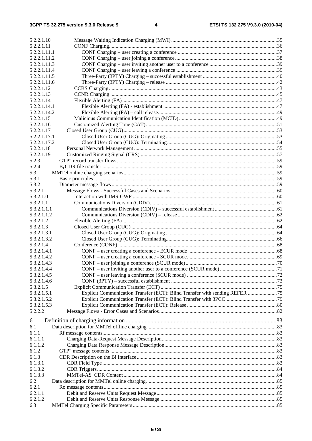| 5.2.2.1.10                 |                                                                              |  |
|----------------------------|------------------------------------------------------------------------------|--|
| 5.2.2.1.11                 |                                                                              |  |
| 5.2.2.1.11.1               |                                                                              |  |
| 5.2.2.1.11.2               |                                                                              |  |
| 5.2.2.1.11.3               |                                                                              |  |
| 5.2.2.1.11.4               |                                                                              |  |
| 5.2.2.1.11.5               |                                                                              |  |
| 5.2.2.1.11.6               |                                                                              |  |
| 5.2.2.1.12                 |                                                                              |  |
| 5.2.2.1.13                 |                                                                              |  |
| 5.2.2.1.14                 |                                                                              |  |
| 5.2.2.1.14.1               |                                                                              |  |
| 5.2.2.1.14.2               |                                                                              |  |
| 5.2.2.1.15                 |                                                                              |  |
| 5.2.2.1.16                 |                                                                              |  |
| 5.2.2.1.17                 |                                                                              |  |
| 5.2.2.1.17.1               |                                                                              |  |
| 5.2.2.1.17.2               |                                                                              |  |
| 5.2.2.1.18                 |                                                                              |  |
| 5.2.2.1.19                 |                                                                              |  |
| 5.2.3                      |                                                                              |  |
| 5.2.4                      |                                                                              |  |
| 5.3                        |                                                                              |  |
| 5.3.1                      |                                                                              |  |
| 5.3.2                      |                                                                              |  |
| 5.3.2.1                    |                                                                              |  |
| 5.3.2.1.0                  |                                                                              |  |
| 5.3.2.1.1                  |                                                                              |  |
| 5.3.2.1.1.1                |                                                                              |  |
| 5.3.2.1.1.2                |                                                                              |  |
| 5.3.2.1.2                  |                                                                              |  |
| 5.3.2.1.3                  |                                                                              |  |
| 5.3.2.1.3.1                |                                                                              |  |
| 5.3.2.1.3.2                |                                                                              |  |
| 5.3.2.1.4                  |                                                                              |  |
| 5.3.2.1.4.1<br>5.3.2.1.4.2 |                                                                              |  |
| 5.3.2.1.4.3                |                                                                              |  |
|                            |                                                                              |  |
| 5.3.2.1.4.4<br>5.3.2.1.4.5 |                                                                              |  |
| 5.3.2.1.4.6                |                                                                              |  |
| 5.3.2.1.5                  |                                                                              |  |
| 5.3.2.1.5.1                | Explicit Communication Transfer (ECT): Blind Transfer with sending REFER  75 |  |
| 5.3.2.1.5.2                |                                                                              |  |
| 5.3.2.1.5.3                |                                                                              |  |
| 5.2.2.2                    |                                                                              |  |
|                            |                                                                              |  |
| 6                          |                                                                              |  |
| 6.1                        |                                                                              |  |
| 6.1.1                      |                                                                              |  |
| 6.1.1.1                    |                                                                              |  |
| 6.1.1.2                    |                                                                              |  |
| 6.1.2                      |                                                                              |  |
| 6.1.3                      |                                                                              |  |
| 6.1.3.1                    |                                                                              |  |
| 6.1.3.2                    |                                                                              |  |
| 6.1.3.3                    |                                                                              |  |
| 6.2                        |                                                                              |  |
| 6.2.1                      |                                                                              |  |
| 6.2.1.1                    |                                                                              |  |
| 6.2.1.2                    |                                                                              |  |
| 6.3                        |                                                                              |  |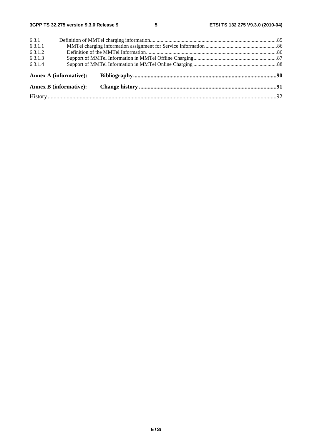| 6.3.1   |                               |  |  |
|---------|-------------------------------|--|--|
| 6.3.1.1 |                               |  |  |
| 6.3.1.2 |                               |  |  |
| 6.3.1.3 |                               |  |  |
| 6.3.1.4 |                               |  |  |
|         | <b>Annex A (informative):</b> |  |  |
|         | <b>Annex B</b> (informative): |  |  |
|         |                               |  |  |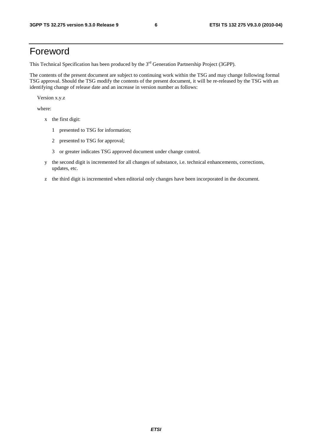### Foreword

This Technical Specification has been produced by the 3<sup>rd</sup> Generation Partnership Project (3GPP).

The contents of the present document are subject to continuing work within the TSG and may change following formal TSG approval. Should the TSG modify the contents of the present document, it will be re-released by the TSG with an identifying change of release date and an increase in version number as follows:

Version x.y.z

where:

- x the first digit:
	- 1 presented to TSG for information;
	- 2 presented to TSG for approval;
	- 3 or greater indicates TSG approved document under change control.
- y the second digit is incremented for all changes of substance, i.e. technical enhancements, corrections, updates, etc.
- z the third digit is incremented when editorial only changes have been incorporated in the document.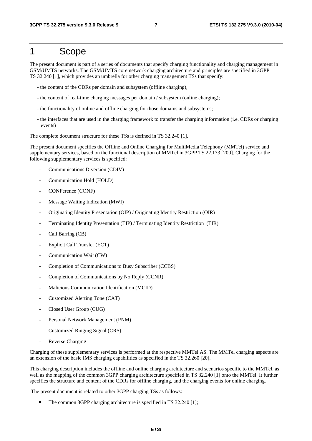### 1 Scope

The present document is part of a series of documents that specify charging functionality and charging management in GSM/UMTS networks. The GSM/UMTS core network charging architecture and principles are specified in 3GPP TS 32.240 [1], which provides an umbrella for other charging management TSs that specify:

- the content of the CDRs per domain and subsystem (offline charging),
- the content of real-time charging messages per domain / subsystem (online charging);
- the functionality of online and offline charging for those domains and subsystems;
- the interfaces that are used in the charging framework to transfer the charging information (i.e. CDRs or charging events)

The complete document structure for these TSs is defined in TS 32.240 [1].

The present document specifies the Offline and Online Charging for MultiMedia Telephony (MMTel) service and supplementary services, based on the functional description of MMTel in 3GPP TS 22.173 [200]. Charging for the following supplementary services is specified:

- Communications Diversion (CDIV)
- Communication Hold (HOLD)
- CONFerence (CONF)
- Message Waiting Indication (MWI)
- Originating Identity Presentation (OIP) / Originating Identity Restriction (OIR)
- Terminating Identity Presentation (TIP) / Terminating Identity Restriction (TIR)
- Call Barring (CB)
- Explicit Call Transfer (ECT)
- Communication Wait (CW)
- Completion of Communications to Busy Subscriber (CCBS)
- Completion of Communications by No Reply (CCNR)
- Malicious Communication Identification (MCID)
- Customized Alerting Tone (CAT)
- Closed User Group (CUG)
- Personal Network Management (PNM)
- Customized Ringing Signal (CRS)
- Reverse Charging

Charging of these supplementary services is performed at the respective MMTel AS. The MMTel charging aspects are an extension of the basic IMS charging capabilities as specified in the TS 32.260 [20].

This charging description includes the offline and online charging architecture and scenarios specific to the MMTel, as well as the mapping of the common 3GPP charging architecture specified in TS 32.240 [1] onto the MMTel. It further specifies the structure and content of the CDRs for offline charging, and the charging events for online charging.

The present document is related to other 3GPP charging TSs as follows:

The common 3GPP charging architecture is specified in TS 32.240 [1];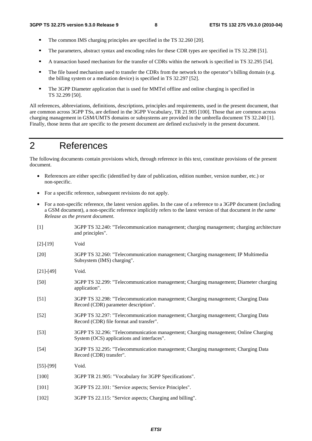- The common IMS charging principles are specified in the TS 32.260 [20].<br>The parameters abstract syntax and encoding rules for these CDR types at
- The parameters, abstract syntax and encoding rules for these CDR types are specified in TS 32.298 [51].<br>A transaction based mechanism for the transfer of CDBs within the network is specified in TS 32.295.15
- A transaction based mechanism for the transfer of CDRs within the network is specified in TS 32.295 [54].
- The file based mechanism used to transfer the CDRs from the network to the operator"s billing domain (e.g. the billing system or a mediation device) is specified in TS 32.297 [52].
- The 3GPP Diameter application that is used for MMTel offline and online charging is specified in TS 32.299 [50].

All references, abbreviations, definitions, descriptions, principles and requirements, used in the present document, that are common across 3GPP TSs, are defined in the 3GPP Vocabulary, TR 21.905 [100]. Those that are common across charging management in GSM/UMTS domains or subsystems are provided in the umbrella document TS 32.240 [1]. Finally, those items that are specific to the present document are defined exclusively in the present document.

### 2 References

The following documents contain provisions which, through reference in this text, constitute provisions of the present document.

- References are either specific (identified by date of publication, edition number, version number, etc.) or non-specific.
- For a specific reference, subsequent revisions do not apply.
- For a non-specific reference, the latest version applies. In the case of a reference to a 3GPP document (including a GSM document), a non-specific reference implicitly refers to the latest version of that document *in the same Release as the present document*.
- [1] 3GPP TS 32.240: "Telecommunication management; charging management; charging architecture and principles".
- [2]-[19] Void
- [20] 3GPP TS 32.260: "Telecommunication management; Charging management; IP Multimedia Subsystem (IMS) charging".
- [21]-[49] Void.
- [50] 3GPP TS 32.299: "Telecommunication management; Charging management; Diameter charging application".
- [51] 3GPP TS 32.298: "Telecommunication management; Charging management; Charging Data Record (CDR) parameter description".
- [52] 3GPP TS 32.297: "Telecommunication management; Charging management; Charging Data Record (CDR) file format and transfer".
- [53] 3GPP TS 32.296: "Telecommunication management; Charging management; Online Charging System (OCS) applications and interfaces".
- [54] 3GPP TS 32.295: "Telecommunication management; Charging management; Charging Data Record (CDR) transfer".
- [55]-[99] Void.
- [100] 3GPP TR 21.905: "Vocabulary for 3GPP Specifications".
- [101] 3GPP TS 22.101: "Service aspects; Service Principles".
- [102] 3GPP TS 22.115: "Service aspects; Charging and billing".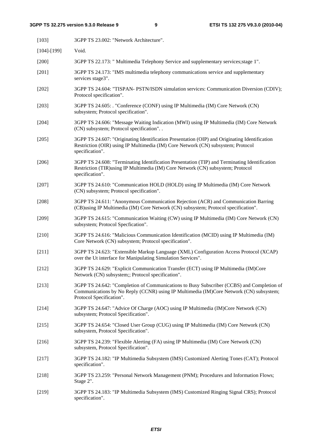| $[103]$           | 3GPP TS 23.002: "Network Architecture".                                                                                                                                                                         |
|-------------------|-----------------------------------------------------------------------------------------------------------------------------------------------------------------------------------------------------------------|
| $[104]$ - $[199]$ | Void.                                                                                                                                                                                                           |
| $[200]$           | 3GPP TS 22.173: " Multimedia Telephony Service and supplementary services; stage 1".                                                                                                                            |
| $[201]$           | 3GPP TS 24.173: "IMS multimedia telephony communications service and supplementary<br>services stage3".                                                                                                         |
| $[202]$           | 3GPP TS 24.604: "TISPAN- PSTN/ISDN simulation services: Communication Diversion (CDIV);<br>Protocol specification".                                                                                             |
| $[203]$           | 3GPP TS 24.605: . "Conference (CONF) using IP Multimedia (IM) Core Network (CN)<br>subsystem; Protocol specification".                                                                                          |
| $[204]$           | 3GPP TS 24.606: "Message Waiting Indication (MWI) using IP Multimedia (IM) Core Network<br>(CN) subsystem; Protocol specification". .                                                                           |
| $[205]$           | 3GPP TS 24.607: "Originating Identification Presentation (OIP) and Originating Identification<br>Restriction (OIR) using IP Multimedia (IM) Core Network (CN) subsystem; Protocol<br>specification".            |
| [206]             | 3GPP TS 24.608: "Terminating Identification Presentation (TIP) and Terminating Identification<br>Restriction (TIR)using IP Multimedia (IM) Core Network (CN) subsystem; Protocol<br>specification".             |
| $[207]$           | 3GPP TS 24.610: "Communication HOLD (HOLD) using IP Multimedia (IM) Core Network<br>(CN) subsystem; Protocol specification".                                                                                    |
| $[208]$           | 3GPP TS 24.611: "Anonymous Communication Rejection (ACR) and Communication Barring<br>(CB)using IP Multimedia (IM) Core Network (CN) subsystem; Protocol specification".                                        |
| [209]             | 3GPP TS 24.615: "Communication Waiting (CW) using IP Multimedia (IM) Core Network (CN)<br>subsystem; Protocol Specfication".                                                                                    |
| $[210]$           | 3GPP TS 24.616: "Malicious Communication Identification (MCID) using IP Multimedia (IM)<br>Core Network (CN) subsystem; Protocol specification".                                                                |
| $[211]$           | 3GPP TS 24.623: "Extensible Markup Language (XML) Configuration Access Protocol (XCAP)<br>over the Ut interface for Manipulating Simulation Services".                                                          |
| $[212]$           | 3GPP TS 24.629: "Explicit Communication Transfer (ECT) using IP Multimedia (IM)Core<br>Network (CN) subsystem;; Protocol specification".                                                                        |
| $[213]$           | 3GPP TS 24.642: "Completion of Communications to Busy Subscriber (CCBS) and Completion of<br>Communications by No Reply (CCNR) using IP Multimedia (IM)Core Network (CN) subsystem;<br>Protocol Specification". |
| [214]             | 3GPP TS 24.647: "Advice Of Charge (AOC) using IP Multimedia (IM)Core Network (CN)<br>subsystem; Protocol Specification".                                                                                        |
| $[215]$           | 3GPP TS 24.654: "Closed User Group (CUG) using IP Multimedia (IM) Core Network (CN)<br>subsystem, Protocol Specification".                                                                                      |
| $[216]$           | 3GPP TS 24.239: "Flexible Alerting (FA) using IP Multimedia (IM) Core Network (CN)<br>subsystem, Protocol Specification".                                                                                       |
| $[217]$           | 3GPP TS 24.182: "IP Multimedia Subsystem (IMS) Customized Alerting Tones (CAT); Protocol<br>specification".                                                                                                     |
| $[218]$           | 3GPP TS 23.259: "Personal Network Management (PNM); Procedures and Information Flows;<br>Stage 2".                                                                                                              |
| $[219]$           | 3GPP TS 24.183: "IP Multimedia Subsystem (IMS) Customized Ringing Signal CRS); Protocol<br>specification".                                                                                                      |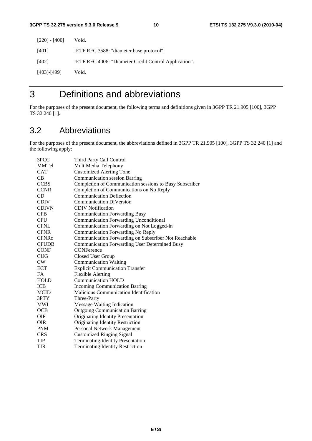| $[220] - [400]$ | Void.                                                 |
|-----------------|-------------------------------------------------------|
| [401]           | IETF RFC 3588: "diameter base protocol".              |
| [402]           | IETF RFC 4006: "Diameter Credit Control Application". |
| [403]-[499]     | Void.                                                 |

### 3 Definitions and abbreviations

For the purposes of the present document, the following terms and definitions given in 3GPP TR 21.905 [100], 3GPP TS 32.240 [1].

### 3.2 Abbreviations

For the purposes of the present document, the abbreviations defined in 3GPP TR 21.905 [100], 3GPP TS 32.240 [1] and the following apply:

| Third Party Call Control                                |
|---------------------------------------------------------|
| MultiMedia Telephony                                    |
| <b>Customized Alerting Tone</b>                         |
| <b>Communication session Barring</b>                    |
| Completion of Communication sessions to Busy Subscriber |
| Completion of Communications on No Reply                |
| <b>Communication Deflection</b>                         |
| <b>Communication DIVersion</b>                          |
| <b>CDIV</b> Notification                                |
| <b>Communication Forwarding Busy</b>                    |
| <b>Communication Forwarding Unconditional</b>           |
| Communication Forwarding on Not Logged-in               |
| Communication Forwarding No Reply                       |
| Communication Forwarding on Subscriber Not Reachable    |
| <b>Communication Forwarding User Determined Busy</b>    |
| <b>CONFerence</b>                                       |
| Closed User Group                                       |
| <b>Communication Waiting</b>                            |
| <b>Explicit Communication Transfer</b>                  |
| <b>Flexible Alerting</b>                                |
| <b>Communication HOLD</b>                               |
| <b>Incoming Communication Barring</b>                   |
| <b>Malicious Communication Identification</b>           |
| Three-Party                                             |
| <b>Message Waiting Indication</b>                       |
| <b>Outgoing Communication Barring</b>                   |
| Originating Identity Presentation                       |
| Originating Identity Restriction                        |
| Personal Network Management                             |
| <b>Customized Ringing Signal</b>                        |
| <b>Terminating Identity Presentation</b>                |
| <b>Terminating Identity Restriction</b>                 |
|                                                         |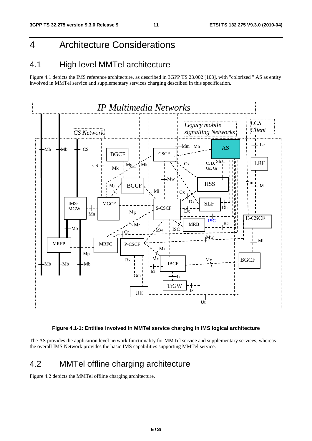## 4 Architecture Considerations

### 4.1 High level MMTel architecture

Figure 4.1 depicts the IMS reference architecture, as described in 3GPP TS 23.002 [103], with "colorized " AS as entity involved in MMTel service and supplementary services charging described in this specification.



#### **Figure 4.1-1: Entities involved in MMTel service charging in IMS logical architecture**

The AS provides the application level network functionality for MMTel service and supplementary services, whereas the overall IMS Network provides the basic IMS capabilities supporting MMTel service.

### 4.2 MMTel offline charging architecture

Figure 4.2 depicts the MMTel offline charging architecture.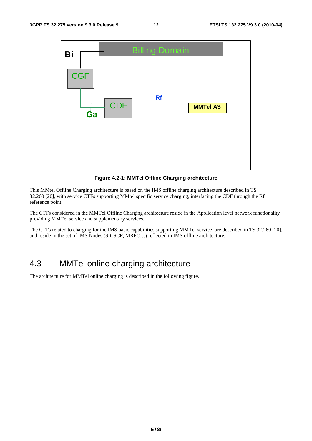

**Figure 4.2-1: MMTel Offline Charging architecture** 

This MMtel Offline Charging architecture is based on the IMS offline charging architecture described in TS 32.260 [20], with service CTFs supporting MMtel specific service charging, interfacing the CDF through the Rf reference point.

The CTFs considered in the MMTel Offline Charging architecture reside in the Application level network functionality providing MMTel service and supplementary services.

The CTFs related to charging for the IMS basic capabilities supporting MMTel service, are described in TS 32.260 [20], and reside in the set of IMS Nodes (S-CSCF, MRFC…) reflected in IMS offline architecture.

### 4.3 MMTel online charging architecture

The architecture for MMTel online charging is described in the following figure.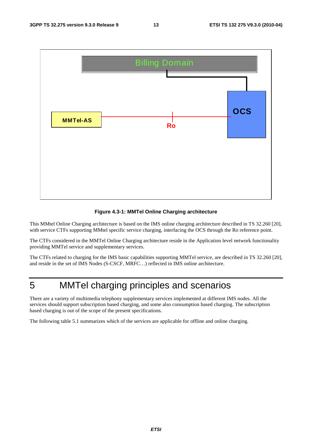

#### **Figure 4.3-1: MMTel Online Charging architecture**

This MMtel Online Charging architecture is based on the IMS online charging architecture described in TS 32.260 [20], with service CTFs supporting MMtel specific service charging, interfacing the OCS through the Ro reference point.

The CTFs considered in the MMTel Online Charging architecture reside in the Application level network functionality providing MMTel service and supplementary services.

The CTFs related to charging for the IMS basic capabilities supporting MMTel service, are described in TS 32.260 [20], and reside in the set of IMS Nodes (S-CSCF, MRFC…) reflected in IMS online architecture.

### 5 MMTel charging principles and scenarios

There are a variety of multimedia telephony supplementary services implemented at different IMS nodes. All the services should support subscription based charging, and some also consumption based charging. The subscription based charging is out of the scope of the present specifications.

The following table 5.1 summarizes which of the services are applicable for offline and online charging.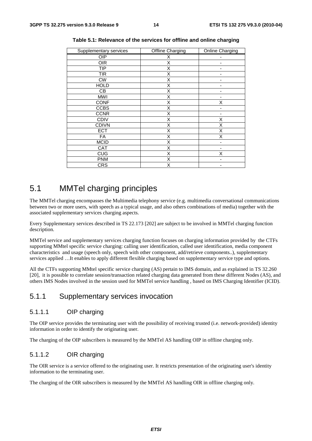| Supplementary services | Offline Charging | Online Charging |
|------------------------|------------------|-----------------|
| OIP                    | х                |                 |
| <b>OIR</b>             | X                |                 |
| TIP                    | X                |                 |
| <b>TIR</b>             | X                |                 |
| <b>CW</b>              | Χ                | -               |
| <b>HOLD</b>            | X                |                 |
| CВ                     | X                |                 |
| <b>MWI</b>             | X                |                 |
| <b>CONF</b>            | Χ                | X               |
| <b>CCBS</b>            | X                |                 |
| <b>CCNR</b>            | Χ                |                 |
| <b>CDIV</b>            | X                | X               |
| <b>CDIVN</b>           | X                | X               |
| <b>ECT</b>             | X                | Χ               |
| FA                     | X                | X               |
| <b>MCID</b>            | X                |                 |
| <b>CAT</b>             | X                |                 |
| <b>CUG</b>             | X                | X               |
| <b>PNM</b>             | X                |                 |
| <b>CRS</b>             | X                |                 |

**Table 5.1: Relevance of the services for offline and online charging** 

### 5.1 MMTel charging principles

The MMTel charging encompasses the Multimedia telephony service (e.g. multimedia conversational communications between two or more users, with speech as a typical usage, and also others combinations of media) together with the associated supplementary services charging aspects.

Every Supplementary services described in TS 22.173 [202] are subject to be involved in MMTel charging function description.

MMTel service and supplementary services charging function focuses on charging information provided by the CTFs supporting MMtel specific service charging: calling user identification, called user identification, media component characteristics and usage (speech only, speech with other component, add/retrieve components..), supplementary services applied …It enables to apply different flexible charging based on supplementary service type and options.

All the CTFs supporting MMtel specific service charging (AS) pertain to IMS domain, and as explained in TS 32.260 [20], it is possible to correlate session/transaction related charging data generated from these different Nodes (AS), and others IMS Nodes involved in the session used for MMTel service handling , based on IMS Charging Identifier (ICID).

### 5.1.1 Supplementary services invocation

#### 5.1.1.1 OIP charging

The OIP service provides the terminating user with the possibility of receiving trusted (i.e. network-provided) identity information in order to identify the originating user.

The charging of the OIP subscribers is measured by the MMTel AS handling OIP in offline charging only.

#### 5.1.1.2 OIR charging

The OIR service is a service offered to the originating user. It restricts presentation of the originating user's identity information to the terminating user.

The charging of the OIR subscribers is measured by the MMTel AS handling OIR in offline charging only.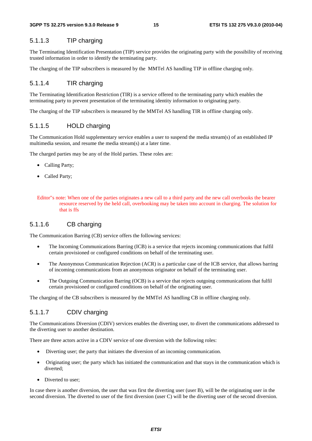#### 5.1.1.3 TIP charging

The Terminating Identification Presentation (TIP) service provides the originating party with the possibility of receiving trusted information in order to identify the terminating party.

The charging of the TIP subscribers is measured by the MMTel AS handling TIP in offline charging only.

#### 5.1.1.4 TIR charging

The Terminating Identification Restriction (TIR) is a service offered to the terminating party which enables the terminating party to prevent presentation of the terminating identity information to originating party.

The charging of the TIP subscribers is measured by the MMTel AS handling TIR in offline charging only.

#### 5.1.1.5 HOLD charging

The Communication Hold supplementary service enables a user to suspend the media stream(s) of an established IP multimedia session, and resume the media stream(s) at a later time.

The charged parties may be any of the Hold parties. These roles are:

- Calling Party;
- Called Party;

#### 5.1.1.6 CB charging

The Communication Barring (CB) service offers the following services:

- The Incoming Communications Barring (ICB) is a service that rejects incoming communications that fulfil certain provisioned or configured conditions on behalf of the terminating user.
- The Anonymous Communication Rejection (ACR) is a particular case of the ICB service, that allows barring of incoming communications from an anonymous originator on behalf of the terminating user.
- The Outgoing Communication Barring (OCB) is a service that rejects outgoing communications that fulfil certain provisioned or configured conditions on behalf of the originating user.

The charging of the CB subscribers is measured by the MMTel AS handling CB in offline charging only.

#### 5.1.1.7 CDIV charging

The Communications Diversion (CDIV) services enables the diverting user, to divert the communications addressed to the diverting user to another destination.

There are three actors active in a CDIV service of one diversion with the following roles:

- Diverting user; the party that initiates the diversion of an incoming communication.
- Originating user; the party which has initiated the communication and that stays in the communication which is diverted;
- Diverted to user:

In case there is another diversion, the user that was first the diverting user (user B), will be the originating user in the second diversion. The diverted to user of the first diversion (user C) will be the diverting user of the second diversion.

Editor"s note: When one of the parties originates a new call to a third party and the new call overbooks the bearer resource reserved by the held call, overbooking may be taken into account in charging. The solution for that is ffs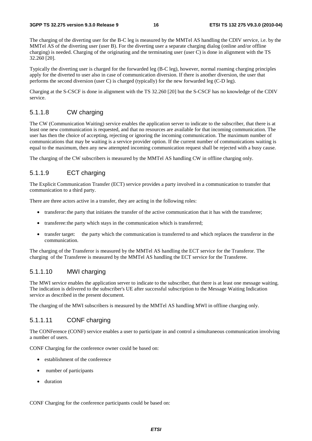#### **3GPP TS 32.275 version 9.3.0 Release 9 16 ETSI TS 132 275 V9.3.0 (2010-04)**

The charging of the diverting user for the B-C leg is measured by the MMTel AS handling the CDIV service, i.e. by the MMTel AS of the diverting user (user B). For the diverting user a separate charging dialog (online and/or offline charging) is needed. Charging of the originating and the terminating user (user C) is done in alignment with the TS 32.260 [20].

Typically the diverting user is charged for the forwarded leg (B-C leg), however, normal roaming charging principles apply for the diverted to user also in case of communication diversion. If there is another diversion, the user that performs the second diversion (user C) is charged (typically) for the new forwarded leg (C-D leg).

Charging at the S-CSCF is done in alignment with the TS 32.260 [20] but the S-CSCF has no knowledge of the CDIV service.

#### 5.1.1.8 CW charging

The CW (Communication Waiting) service enables the application server to indicate to the subscriber, that there is at least one new communication is requested, and that no resources are available for that incoming communication. The user has then the choice of accepting, rejecting or ignoring the incoming communication. The maximum number of communications that may be waiting is a service provider option. If the current number of communications waiting is equal to the maximum, then any new attempted incoming communication request shall be rejected with a busy cause.

The charging of the CW subscribers is measured by the MMTel AS handling CW in offline charging only.

#### 5.1.1.9 ECT charging

The Explicit Communication Transfer (ECT) service provides a party involved in a communication to transfer that communication to a third party.

There are three actors active in a transfer, they are acting in the following roles:

- transferor: the party that initiates the transfer of the active communication that it has with the transferee;
- transferee: the party which stays in the communication which is transferred;
- transfer target: the party which the communication is transferred to and which replaces the transferor in the communication.

The charging of the Transferor is measured by the MMTel AS handling the ECT service for the Transferor. The charging of the Transferee is measured by the MMTel AS handling the ECT service for the Transferee.

#### 5.1.1.10 MWI charging

The MWI service enables the application server to indicate to the subscriber, that there is at least one message waiting. The indication is delivered to the subscriber's UE after successful subscription to the Message Waiting Indication service as described in the present document.

The charging of the MWI subscribers is measured by the MMTel AS handling MWI in offline charging only.

#### 5.1.1.11 CONF charging

The CONFerence (CONF) service enables a user to participate in and control a simultaneous communication involving a number of users.

CONF Charging for the conference owner could be based on:

- establishment of the conference
- number of participants
- duration

CONF Charging for the conference participants could be based on: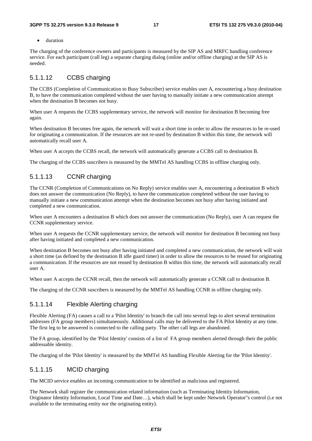• duration

The charging of the conference owners and participants is measured by the SIP AS and MRFC handling conference service. For each participant (call leg) a separate charging dialog (online and/or offline charging) at the SIP AS is needed.

#### 5.1.1.12 CCBS charging

The CCBS (Completion of Communication to Busy Subscriber) service enables user A, encountering a busy destination B, to have the communication completed without the user having to manually initiate a new communication attempt when the destination B becomes not busy.

When user A requests the CCBS supplementary service, the network will monitor for destination B becoming free again.

When destination B becomes free again, the network will wait a short time in order to allow the resources to be re-used for originating a communication. If the resources are not re-used by destination B within this time, the network will automatically recall user A.

When user A accepts the CCBS recall, the network will automatically generate a CCBS call to destination B.

The charging of the CCBS suscribers is measured by the MMTel AS handling CCBS in offline charging only.

#### 5.1.1.13 CCNR charging

The CCNR (Completion of Communications on No Reply) service enables user A, encountering a destination B which does not answer the communication (No Reply), to have the communication completed without the user having to manually initiate a new communication attempt when the destination becomes not busy after having initiated and completed a new communication.

When user A encounters a destination B which does not answer the communication (No Reply), user A can request the CCNR supplementary service.

When user A requests the CCNR supplementary service, the network will monitor for destination B becoming not busy after having initiated and completed a new communication.

When destination B becomes not busy after having initiated and completed a new communication, the network will wait a short time (as defined by the destination B idle guard timer) in order to allow the resources to be reused for originating a communication. If the resources are not reused by destination B within this time, the network will automatically recall user A.

When user A accepts the CCNR recall, then the network will automatically generate a CCNR call to destination B.

The charging of the CCNR suscribers is measured by the MMTel AS handling CCNR in offline charging only.

#### 5.1.1.14 Flexible Alerting charging

Flexible Alerting (FA) causes a call to a 'Pilot Identity' to branch the call into several legs to alert several termination addresses (FA group members) simultaneously. Additional calls may be delivered to the FA Pilot Identity at any time. The first leg to be answered is connected to the calling party. The other call legs are abandoned.

The FA group, identified by the 'Pilot Identity' consists of a list of FA group members alerted through their the public addressable identity.

The charging of the 'Pilot Identity' is measured by the MMTel AS handling Flexible Alerting for the 'Pilot Identity'.

#### 5.1.1.15 MCID charging

The MCID service enables an incoming communication to be identified as malicious and registered.

The Network shall register the communication related information (such as Terminating Identity Information, Originator Identity Information, Local Time and Date…), which shall be kept under Network Operator"s control (i.e not available to the terminating entity nor the originating entity).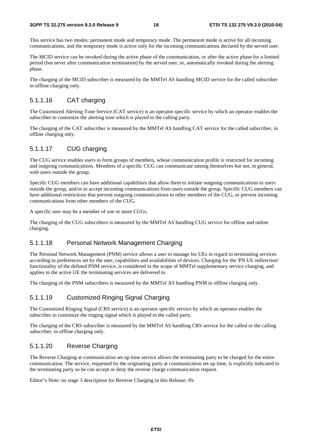This service has two modes: permanent mode and temporary mode. The permanent mode is active for all incoming communications, and the temporary mode is active only for the incoming communications declared by the served user.

The MCID service can be invoked during the active phase of the communication, or after the active phase for a limited period (but never after communication termination) by the served user, or, automatically invoked during the alerting phase.

The charging of the MCID subscriber is measured by the MMTel AS handling MCID service for the called subscriber in offline charging only.

#### 5.1.1.16 CAT charging

The Customized Alerting Tone Service (CAT service) is an operator specific service by which an operator enables the subscriber to customize the alerting tone which is played to the calling party.

The charging of the CAT subscriber is measured by the MMTel AS handling CAT service for the called subscriber, in offline charging only.

#### 5.1.1.17 CUG charging

The CUG service enables users to form groups of members, whose communication profile is restricted for incoming and outgoing communications. Members of a specific CUG can communicate among themselves but not, in general, with users outside the group.

Specific CUG members can have additional capabilities that allow them to initiate outgoing communications to users outside the group, and/or to accept incoming communications from users outside the group. Specific CUG members can have additional restrictions that prevent outgoing communications to other members of the CUG, or prevent incoming communications from other members of the CUG.

A specific user may be a member of one or more CUGs.

The charging of the CUG subscribers is measured by the MMTel AS handling CUG service for offline and online charging.

#### 5.1.1.18 Personal Network Management Charging

The Personal Network Management (PNM) service allows a user to manage his UEs in regard to terminating services according to preferences set by the user, capabilities and availabilities of devices. Charging for the 'PN UE redirection' functionality of the defined PNM service, is considered in the scope of MMTel supplementary service charging, and applies to the active UE the terminating services are delivered to.

The charging of the PNM subscribers is measured by the MMTel AS handling PNM in offline charging only.

#### 5.1.1.19 Customized Ringing Signal Charging

The Customized Ringing Signal (CRS service) is an operator specific service by which an operator enables the subscriber to customize the ringing signal which is played to the called party.

The charging of the CRS subscriber is measured by the MMTel AS handling CRS service for the called or the calling subscriber, in offline charging only.

#### 5.1.1.20 Reverse Charging

The Reverse Charging at communication set up time service allows the terminating party to be charged for the entire communication. The service, requested by the originating party at communication set up time, is explicitly indicated to the terminating party so he can accept or deny the reverse charge communication request.

Editor"s Note: no stage 3 description for Reverse Charging in this Release: ffs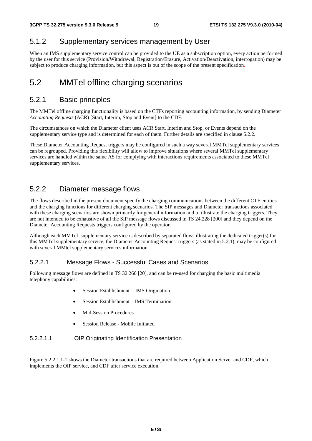### 5.1.2 Supplementary services management by User

When an IMS supplementary service control can be provided to the UE as a subscription option, every action performed by the user for this service (Provision/Withdrawal, Registration/Erasure, Activation/Deactivation, interrogation) may be subject to produce charging information, but this aspect is out of the scope of the present specification.

### 5.2 MMTel offline charging scenarios

### 5.2.1 Basic principles

The MMTel offline charging functionality is based on the CTFs reporting accounting information, by sending Diameter *Accounting Requests* (ACR) [Start, Interim, Stop and Event] to the CDF.

The circumstances on which the Diameter client uses ACR Start, Interim and Stop, or Events depend on the supplementary service type and is determined for each of them. Further details are specified in clause 5.2.2.

These Diameter Accounting Request triggers may be configured in such a way several MMTel supplementary services can be regrouped. Providing this flexibility will allow to improve situations where several MMTel supplementary services are handled within the same AS for complying with interactions requirements associated to these MMTel supplementary services.

### 5.2.2 Diameter message flows

The flows described in the present document specify the charging communications between the different CTF entities and the charging functions for different charging scenarios. The SIP messages and Diameter transactions associated with these charging scenarios are shown primarily for general information and to illustrate the charging triggers. They are not intended to be exhaustive of all the SIP message flows discussed in TS 24.228 [200] and they depend on the Diameter Accounting Requests triggers configured by the operator.

Although each MMTel supplementary service is described by separated flows illustrating the dedicated trigger(s) for this MMTel supplementary service, the Diameter Accounting Request triggers (as stated in 5.2.1), may be configured with several MMtel supplementary services information.

### 5.2.2.1 Message Flows - Successful Cases and Scenarios

Following message flows are defined in TS 32.260 [20], and can be re-used for charging the basic multimedia telephony capabilities:

- Session Establishment IMS Origination
- Session Establishment IMS Termination
- Mid-Session Procedures
- Session Release Mobile Initiated

#### 5.2.2.1.1 OIP Originating Identification Presentation

Figure 5.2.2.1.1-1 shows the Diameter transactions that are required between Application Server and CDF, which implements the OIP service, and CDF after service execution.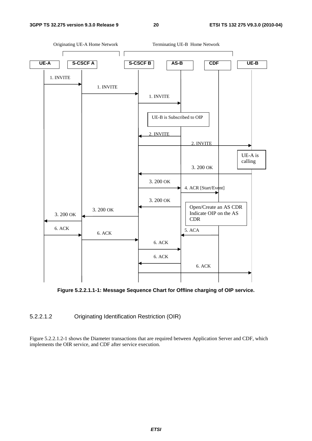



**Figure 5.2.2.1.1-1: Message Sequence Chart for Offline charging of OIP service.** 

#### 5.2.2.1.2 Originating Identification Restriction (OIR)

Figure 5.2.2.1.2-1 shows the Diameter transactions that are required between Application Server and CDF, which implements the OIR service, and CDF after service execution.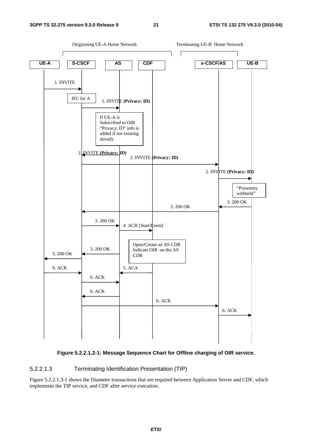

#### **Figure 5.2.2.1.2-1: Message Sequence Chart for Offline charging of OIR service.**

#### 5.2.2.1.3 Terminating Identification Presentation (TIP)

Figure 5.2.2.1.3-1 shows the Diameter transactions that are required between Application Server and CDF, which implements the TIP service, and CDF after service execution.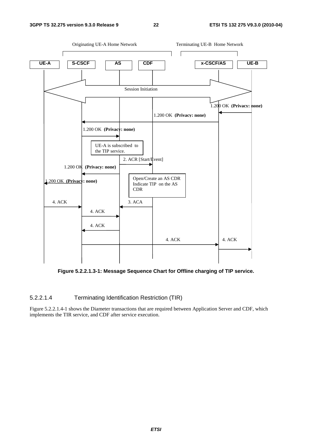

**Figure 5.2.2.1.3-1: Message Sequence Chart for Offline charging of TIP service.** 

#### 5.2.2.1.4 Terminating Identification Restriction (TIR)

Figure 5.2.2.1.4-1 shows the Diameter transactions that are required between Application Server and CDF, which implements the TIR service, and CDF after service execution.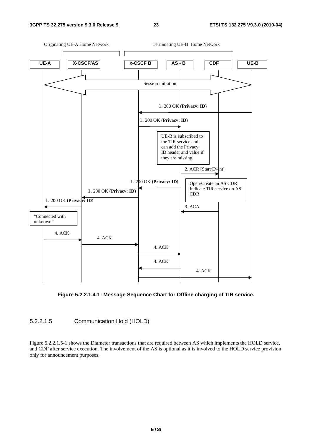

**Figure 5.2.2.1.4-1: Message Sequence Chart for Offline charging of TIR service.** 

#### 5.2.2.1.5 Communication Hold (HOLD)

Figure 5.2.2.1.5-1 shows the Diameter transactions that are required between AS which implements the HOLD service, and CDF after service execution. The involvement of the AS is optional as it is involved to the HOLD service provision only for announcement purposes.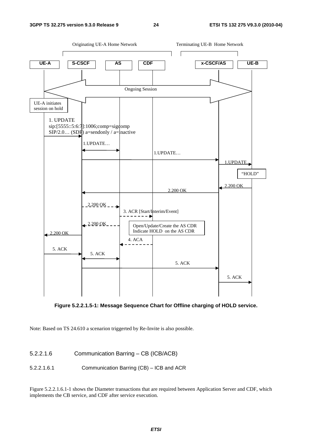



Note: Based on TS 24.610 a scenarion triggerted by Re-Invite is also possible.

5.2.2.1.6 Communication Barring – CB (ICB/ACB)

5.2.2.1.6.1 Communication Barring (CB) – ICB and ACR

Figure 5.2.2.1.6.1-1 shows the Diameter transactions that are required between Application Server and CDF, which implements the CB service, and CDF after service execution.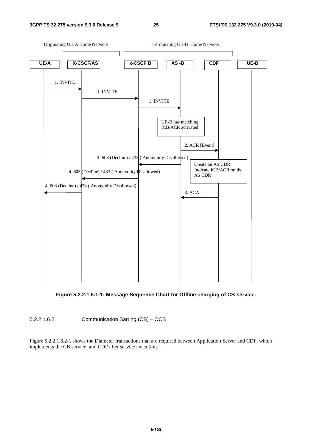#### **3GPP TS 32.275 version 9.3.0 Release 9 25 ETSI TS 132 275 V9.3.0 (2010-04)**



**Figure 5.2.2.1.6.1-1: Message Sequence Chart for Offline charging of CB service.** 

5.2.2.1.6.2 Communication Barring (CB) – OCB

Figure 5.2.2.1.6.2-1 shows the Diameter transactions that are required between Application Server and CDF, which implements the CB service, and CDF after service execution.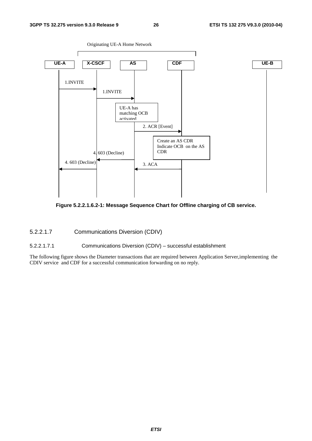

**Figure 5.2.2.1.6.2-1: Message Sequence Chart for Offline charging of CB service.** 

5.2.2.1.7 Communications Diversion (CDIV)

5.2.2.1.7.1 Communications Diversion (CDIV) – successful establishment

The following figure shows the Diameter transactions that are required between Application Server,implementing the CDIV service and CDF for a successful communication forwarding on no reply.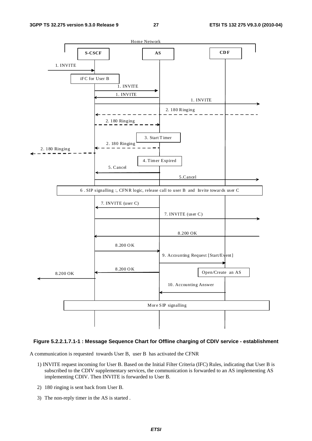

#### **Figure 5.2.2.1.7.1-1 : Message Sequence Chart for Offline charging of CDIV service - establishment**

A communication is requested towards User B, user B has activated the CFNR

- 1) INVITE request incoming for User B. Based on the Initial Filter Criteria (IFC) Rules, indicating that User B is subscribed to the CDIV supplementary services, the communication is forwarded to an AS implementing AS implementing CDIV. Then INVITE is forwarded to User B.
- 2) 180 ringing is sent back from User B.
- 3) The non-reply timer in the AS is started .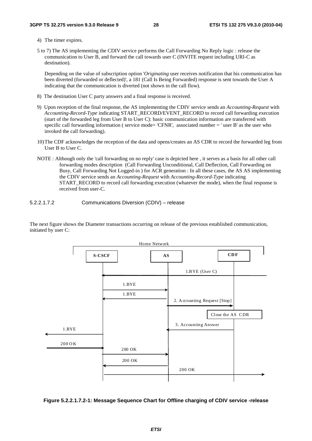4) The timer expires.

5 to 7) The AS implementing the CDIV service performs the Call Forwarding No Reply logic : release the communication to User B, and forward the call towards user C (INVITE request including URI-C as destination).

 Depending on the value of subscription option '*Originating* user receives notification that his communication has been diverted (forwarded or deflected)', a 181 (Call Is Being Forwarded) response is sent towards the User A indicating that the communication is diverted (not shown in the call flow).

- 8) The destination User C party answers and a final response is received.
- 9) Upon reception of the final response, the AS implementing the CDIV service sends an *Accounting-Request* with *Accounting-Record-Type* indicating START\_RECORD/EVENT\_RECORD to record call forwarding execution (start of the forwarded leg from User B to User C): basic communication information are transferred with specific call forwarding information ( service mode= 'CFNR', associated number = ' user B' as the user who invoked the call forwarding).
- 10) The CDF acknowledges the reception of the data and opens/creates an AS CDR to record the forwarded leg from User B to User C.
- NOTE : Although only the 'call forwarding on no reply' case is depicted here , it serves as a basis for all other call forwarding modes description (Call Forwarding Unconditional, Call Deflection, Call Forwarding on Busy, Call Forwarding Not Logged-in ) for ACR generation : In all these cases, the AS AS implementing the CDIV service sends an *Accounting-Request* with *Accounting-Record-Type* indicating START\_RECORD to record call forwarding execution (whatever the mode), when the final response is received from user-C.

5.2.2.1.7.2 Communications Diversion (CDIV) – release

The next figure shows the Diameter transactions occurring on release of the previous established communication, initiated by user C:



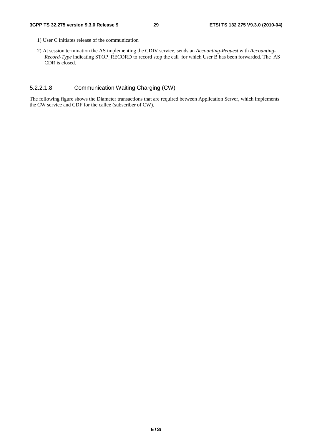- 1) User C initiates release of the communication
- 2) At session termination the AS implementing the CDIV service, sends an *Accounting-Request* with *Accounting-Record-Type* indicating STOP\_RECORD to record stop the call for which User B has been forwarded. The AS CDR is closed.

#### 5.2.2.1.8 Communication Waiting Charging (CW)

The following figure shows the Diameter transactions that are required between Application Server, which implements the CW service and CDF for the callee (subscriber of CW).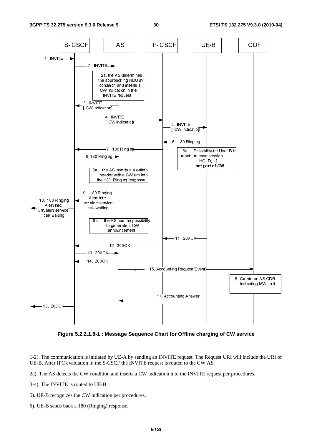

**Figure 5.2.2.1.8-1 : Message Sequence Chart for Offline charging of CW service** 

1-2). The communication is initiated by UE-A by sending an INVITE request. The Request URI will include the URI of UE-B. After IFC evaluation in the S-CSCF the INVITE request is routed to the CW AS.

2a). The AS detects the CW condition and inserts a CW indication into the INVITE request per procedures.

3-4). The INVITE is routed to UE-B.

- 5). UE-B recognizes the CW indication per procedures.
- 6). UE-B sends back a 180 (Ringing) response.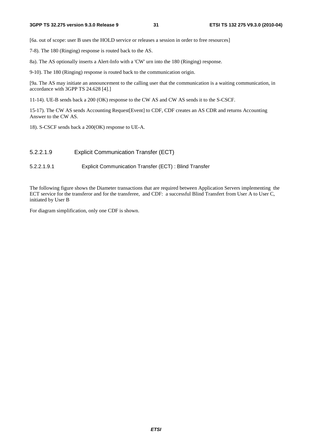[6a. out of scope: user B uses the HOLD service or releases a session in order to free resources]

- 7-8). The 180 (Ringing) response is routed back to the AS.
- 8a). The AS optionally inserts a Alert-Info with a 'CW' urn into the 180 (Ringing) response.

9-10). The 180 (Ringing) response is routed back to the communication origin.

[9a. The AS may initiate an announcement to the calling user that the communication is a waiting communication, in accordance with 3GPP TS 24.628 [4].]

11-14). UE-B sends back a 200 (OK) response to the CW AS and CW AS sends it to the S-CSCF.

15-17). The CW AS sends Accounting Request[Event] to CDF, CDF creates an AS CDR and returns Accounting Answer to the CW AS.

18). S-CSCF sends back a 200(OK) response to UE-A.

#### 5.2.2.1.9 Explicit Communication Transfer (ECT)

#### 5.2.2.1.9.1 Explicit Communication Transfer (ECT) : Blind Transfer

The following figure shows the Diameter transactions that are required between Application Servers implementing the ECT service for the transferor and for the transferee, and CDF: a successful Blind Transfert from User A to User C, initiated by User B

For diagram simplification, only one CDF is shown.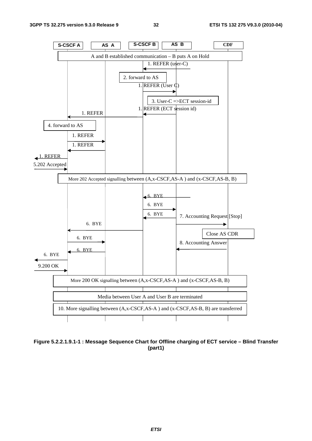

**Figure 5.2.2.1.9.1-1 : Message Sequence Chart for Offline charging of ECT service – Blind Transfer (part1)**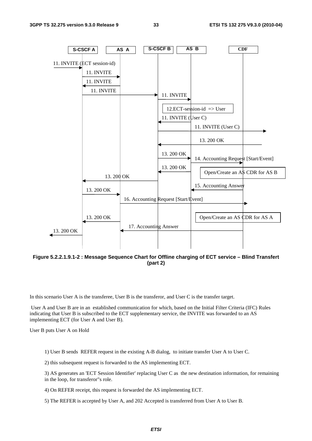

**Figure 5.2.2.1.9.1-2 : Message Sequence Chart for Offline charging of ECT service – Blind Transfert (part 2)** 

In this scenario User A is the transferee, User B is the transferor, and User C is the transfer target.

 User A and User B are in an established communication for which, based on the Initial Filter Criteria (IFC) Rules indicating that User B is subscribed to the ECT supplementary service, the INVITE was forwarded to an AS implementing ECT (for User A and User B).

User B puts User A on Hold

1) User B sends REFER request in the existing A-B dialog, to initiate transfer User A to User C.

2) this subsequent request is forwarded to the AS implementing ECT.

3) AS generates an 'ECT Session Identifier' replacing User C as the new destination information, for remaining in the loop, for transferor"s role.

4) On REFER receipt, this request is forwarded the AS implementing ECT.

5) The REFER is accepted by User A, and 202 Accepted is transferred from User A to User B.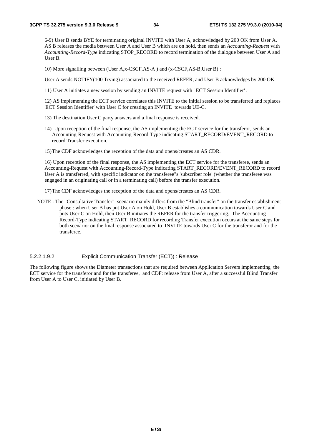6-9) User B sends BYE for terminating original INVITE with User A, acknowledged by 200 OK from User A. AS B releases the media between User A and User B which are on hold, then sends an *Accounting-Request* with *Accounting-Record-Type* indicating STOP\_RECORD to record termination of the dialogue between User A and User B.

10) More signalling between (User A,x-CSCF,AS-A ) and (x-CSCF,AS-B,User B) :

User A sends NOTIFY(100 Trying) associated to the received REFER, and User B acknowledges by 200 OK

11) User A initiates a new session by sending an INVITE request with ' ECT Session Identifier' .

12) AS implementing the ECT service correlates this INVITE to the initial session to be transferred and replaces 'ECT Session Identifier' with User C for creating an INVITE towards UE-C.

- 13) The destination User C party answers and a final response is received.
- 14) Upon reception of the final response, the AS implementing the ECT service for the transferor, sends an Accounting-Request with Accounting-Record-Type indicating START\_RECORD/EVENT\_RECORD to record Transfer execution.
- 15) The CDF acknowledges the reception of the data and opens/creates an AS CDR.

16) Upon reception of the final response, the AS implementing the ECT service for the transferee, sends an Accounting-Request with Accounting-Record-Type indicating START\_RECORD/EVENT\_RECORD to record User A is transferred, with specific indicator on the transferee"s 'subscriber role' (whether the transferee was engaged in an originating call or in a terminating call) before the transfer execution.

17) The CDF acknowledges the reception of the data and opens/creates an AS CDR.

NOTE : The "Consultative Transfer" scenario mainly differs from the "Blind transfer" on the transfer establishment phase : when User B has put User A on Hold, User B establishes a communication towards User C and puts User C on Hold, then User B initiates the REFER for the transfer triggering. The Accounting-Record-Type indicating START\_RECORD for recording Transfer execution occurs at the same steps for both scenario: on the final response associated to INVITE towards User C for the transferor and for the transferee.

#### 5.2.2.1.9.2 Explicit Communication Transfer (ECT)) : Release

The following figure shows the Diameter transactions that are required between Application Servers implementing the ECT service for the transferor and for the transferee, and CDF: release from User A, after a successful Blind Transfer from User A to User C, initiated by User B.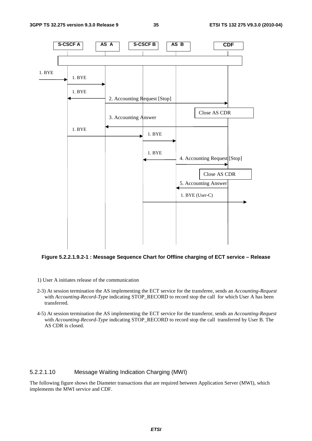

**Figure 5.2.2.1.9.2-1 : Message Sequence Chart for Offline charging of ECT service – Release** 

- 1) User A initiates release of the communication
- 2-3) At session termination the AS implementing the ECT service for the transferee, sends an *Accounting-Request* with *Accounting-Record-Type* indicating STOP\_RECORD to record stop the call for which User A has been transferred.
- 4-5) At session termination the AS implementing the ECT service for the transferor, sends an *Accounting-Request* with *Accounting-Record-Type* indicating STOP\_RECORD to record stop the call transferred by User B. The AS CDR is closed.

#### 5.2.2.1.10 Message Waiting Indication Charging (MWI)

The following figure shows the Diameter transactions that are required between Application Server (MWI), which implements the MWI service and CDF.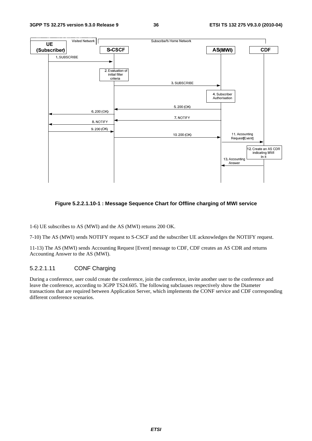

# **Figure 5.2.2.1.10-1 : Message Sequence Chart for Offline charging of MWI service**

1-6) UE subscribes to AS (MWI) and the AS (MWI) returns 200 OK.

7-10) The AS (MWI) sends NOTIFY request to S-CSCF and the subscriber UE acknowledges the NOTIFY request.

11-13) The AS (MWI) sends Accounting Request [Event] message to CDF, CDF creates an AS CDR and returns Accounting Answer to the AS (MWI).

# 5.2.2.1.11 CONF Charging

During a conference, user could create the conference, join the conference, invite another user to the conference and leave the conference, according to 3GPP TS24.605. The following subclauses respectively show the Diameter transactions that are required between Application Server, which implements the CONF service and CDF corresponding different conference scenarios.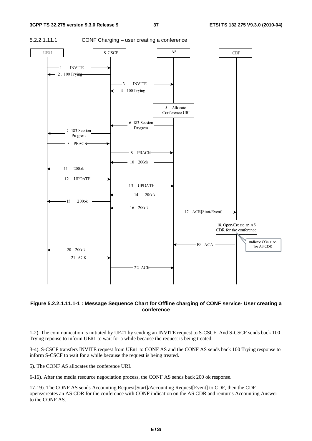

5.2.2.1.11.1 CONF Charging – user creating a conference



## **Figure 5.2.2.1.11.1-1 : Message Sequence Chart for Offline charging of CONF service- User creating a conference**

1-2). The communication is initiated by UE#1 by sending an INVITE request to S-CSCF. And S-CSCF sends back 100 Trying reponse to inform UE#1 to wait for a while because the request is being treated.

3-4). S-CSCF transfers INVITE request from UE#1 to CONF AS and the CONF AS sends back 100 Trying response to inform S-CSCF to wait for a while because the request is being treated.

5). The CONF AS allocates the conference URI.

6-16). After the media resource negociation process, the CONF AS sends back 200 ok response.

17-19). The CONF AS sends Accounting Request[Start]/Accounting Request[Event] to CDF, then the CDF opens/creates an AS CDR for the conference with CONF indication on the AS CDR and renturns Accounting Answer to the CONF AS.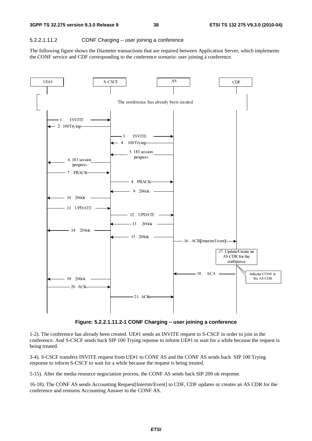#### 5.2.2.1.11.2 CONF Charging – user joining a conference

The following figure shows the Diameter transactions that are required between Application Server, which implements the CONF service and CDF corresponding to the conference scenario: user joining a conference.



**Figure: 5.2.2.1.11.2-1 CONF Charging – user joining a conference** 

1-2). The conference has already been created. UE#1 sends an INVITE request to S-CSCF in order to join in the conference. And S-CSCF sends back SIP 100 Trying reponse to inform UE#1 to wait for a while because the request is being treated.

3-4). S-CSCF transfers INVITE request from UE#1 to CONF AS and the CONF AS sends back SIP 100 Trying response to inform S-CSCF to wait for a while because the request is being treated.

5-15). After the media resource negociation process, the CONF AS sends back SIP 200 ok response.

16-18). The CONF AS sends Accounting Request[Interim/Event] to CDF, CDF updates or creates an AS CDR for the conference and renturns Accounting Answer to the CONF AS.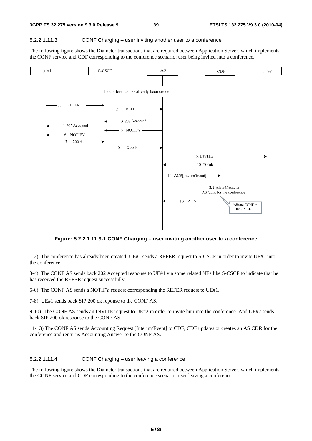#### 5.2.2.1.11.3 CONF Charging – user inviting another user to a conference

The following figure shows the Diameter transactions that are required between Application Server, which implements the CONF service and CDF corresponding to the conference scenario: user being invited into a conference.



**Figure: 5.2.2.1.11.3-1 CONF Charging – user inviting another user to a conference** 

1-2). The conference has already been created. UE#1 sends a REFER request to S-CSCF in order to invite UE#2 into the conference.

3-4). The CONF AS sends back 202 Accepted response to UE#1 via some related NEs like S-CSCF to indicate that he has received the REFER request successfully.

5-6). The CONF AS sends a NOTIFY request corresponding the REFER request to UE#1.

7-8). UE#1 sends back SIP 200 ok reponse to the CONF AS.

9-10). The CONF AS sends an INVITE request to UE#2 in order to invite him into the conference. And UE#2 sends back SIP 200 ok response to the CONF AS.

11-13) The CONF AS sends Accounting Request [Interim/Event] to CDF, CDF updates or creates an AS CDR for the conference and renturns Accounting Answer to the CONF AS.

5.2.2.1.11.4 CONF Charging – user leaving a conference

The following figure shows the Diameter transactions that are required between Application Server, which implements the CONF service and CDF corresponding to the conference scenario: user leaving a conference.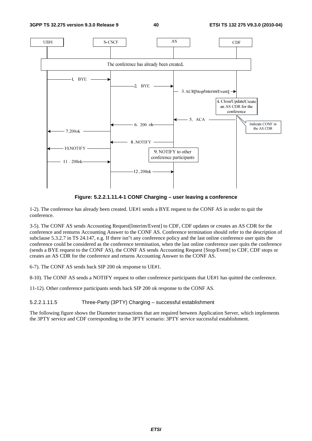

**Figure: 5.2.2.1.11.4-1 CONF Charging – user leaving a conference** 

1-2). The conference has already been created. UE#1 sends a BYE request to the CONF AS in order to quit the conference.

3-5). The CONF AS sends Accounting Request[Interim/Event] to CDF, CDF updates or creates an AS CDR for the conference and renturns Accounting Answer to the CONF AS. Conference termination should refer to the description of subclause 5.3.2.7 in TS 24.147, e.g. If there isn"t any conference policy and the last online conference user quits the conference could be considered as the conference termination, when the last online conference user quits the conference (sends a BYE request to the CONF AS), the CONF AS sends Accounting Request [Stop/Event] to CDF, CDF stops or creates an AS CDR for the conference and returns Accounting Answer to the CONF AS.

6-7). The CONF AS sends back SIP 200 ok response to UE#1.

8-10). The CONF AS sends a NOTIFY request to other conference participants that UE#1 has quitted the conference.

11-12). Other conference participants sends back SIP 200 ok response to the CONF AS.

5.2.2.1.11.5 Three-Party (3PTY) Charging – successful establishment

The following figure shows the Diameter transactions that are required between Application Server, which implements the 3PTY service and CDF corresponding to the 3PTY scenario: 3PTY service successful establishment.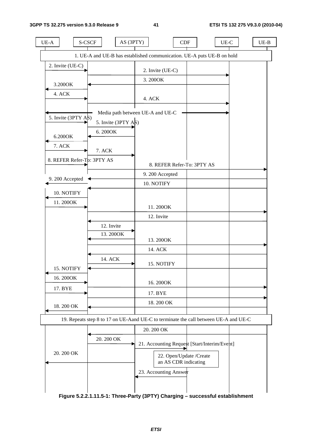$\overline{\phantom{a}}$ 

| $UE-A$                         | S-CSCF<br>AS (3PTY)                                                                  |                                                 | CDF                        | $UE-C$ | $UE-B$ |
|--------------------------------|--------------------------------------------------------------------------------------|-------------------------------------------------|----------------------------|--------|--------|
|                                | 1. UE-A and UE-B has established communication. UE-A puts UE-B on hold               |                                                 |                            |        |        |
| 2. Invite (UE-C)               |                                                                                      | 2. Invite (UE-C)                                |                            |        |        |
| 3.200OK                        |                                                                                      | 3.200OK                                         |                            |        |        |
| 4. ACK                         |                                                                                      |                                                 |                            |        |        |
|                                |                                                                                      | 4. ACK                                          |                            |        |        |
| 5. Invite $(3PTY \text{ A}\$)$ |                                                                                      | Media path between UE-A and UE-C                |                            |        |        |
|                                | 5. Invite $(3PTY \text{ A}\$)$                                                       |                                                 |                            |        |        |
| 6.200OK                        | 6.2000K                                                                              |                                                 |                            |        |        |
| 7. ACK                         | 7. ACK                                                                               |                                                 |                            |        |        |
| 8. REFER Refer-Tp: 3PTY AS     |                                                                                      |                                                 | 8. REFER Refer-To: 3PTY AS |        |        |
| 9.200 Accepted                 |                                                                                      | 9.200 Accepted                                  |                            |        |        |
|                                |                                                                                      | 10. NOTIFY                                      |                            |        |        |
| 10. NOTIFY                     |                                                                                      |                                                 |                            |        |        |
| 11.200OK                       |                                                                                      | 11.200OK                                        |                            |        |        |
|                                |                                                                                      | 12. Invite                                      |                            |        |        |
|                                | 12. Invite                                                                           |                                                 |                            |        |        |
|                                | 13.200OK                                                                             | 13.200OK                                        |                            |        |        |
|                                |                                                                                      | 14. ACK                                         |                            |        |        |
|                                | 14. ACK                                                                              |                                                 |                            |        |        |
| 15. NOTIFY                     |                                                                                      | 15. NOTIFY                                      |                            |        |        |
| 16.200OK                       |                                                                                      | 16.200OK                                        |                            |        |        |
| 17. BYE                        |                                                                                      | 17. BYE                                         |                            |        |        |
| 18.200 OK                      |                                                                                      | 18.200 OK                                       |                            |        |        |
|                                |                                                                                      |                                                 |                            |        |        |
|                                | 19. Repeats step 8 to 17 on UE-Aand UE-C to terminate the call between UE-A and UE-C | 20.200 OK                                       |                            |        |        |
|                                | 20.200 OK                                                                            |                                                 |                            |        |        |
| 20.200 OK                      |                                                                                      | 21. Accounting Request [Start/Interim/Event]    |                            |        |        |
|                                |                                                                                      | 22. Open/Update /Create<br>an AS CDR indicating |                            |        |        |
|                                |                                                                                      | 23. Accounting Answer                           |                            |        |        |
|                                |                                                                                      |                                                 |                            |        |        |
|                                |                                                                                      |                                                 |                            |        |        |

**Figure 5.2.2.1.11.5-1: Three-Party (3PTY) Charging – successful establishment**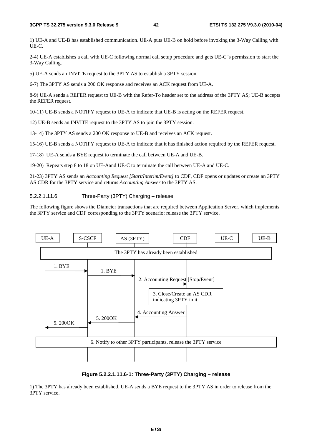1) UE-A and UE-B has established communication. UE-A puts UE-B on hold before invoking the 3-Way Calling with UE-C.

2-4) UE-A establishes a call with UE-C following normal call setup procedure and gets UE-C"s permission to start the 3-Way Calling.

5) UE-A sends an INVITE request to the 3PTY AS to establish a 3PTY session.

6-7) The 3PTY AS sends a 200 OK response and receives an ACK request from UE-A.

8-9) UE-A sends a REFER request to UE-B with the Refer-To header set to the address of the 3PTY AS; UE-B accepts the REFER request.

10-11) UE-B sends a NOTIFY request to UE-A to indicate that UE-B is acting on the REFER request.

12) UE-B sends an INVITE request to the 3PTY AS to join the 3PTY session.

13-14) The 3PTY AS sends a 200 OK response to UE-B and receives an ACK request.

15-16) UE-B sends a NOTIFY request to UE-A to indicate that it has finished action required by the REFER request.

17-18) UE-A sends a BYE request to terminate the call between UE-A and UE-B.

19-20) Repeats step 8 to 18 on UE-Aand UE-C to terminate the call between UE-A and UE-C.

21-23) 3PTY AS sends an *Accounting Request [Start/Interim/Event]* to CDF, CDF opens or updates or create an 3PTY AS CDR for the 3PTY service and returns *Accounting Answer* to the 3PTY AS.

### 5.2.2.1.11.6 Three-Party (3PTY) Charging – release

The following figure shows the Diameter transactions that are required between Application Server, which implements the 3PTY service and CDF corresponding to the 3PTY scenario: release the 3PTY service.



## **Figure 5.2.2.1.11.6-1: Three-Party (3PTY) Charging – release**

1) The 3PTY has already been established. UE-A sends a BYE request to the 3PTY AS in order to release from the 3PTY service.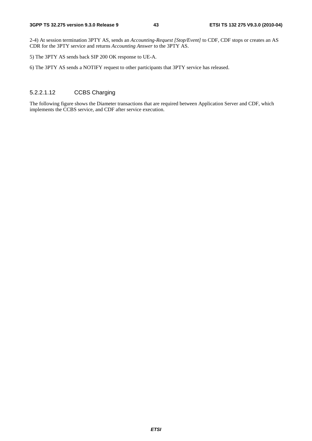2-4) At session termination 3PTY AS, sends an *Accounting-Request [Stop/Event]* to CDF, CDF stops or creates an AS CDR for the 3PTY service and returns *Accounting Answer* to the 3PTY AS.

5) The 3PTY AS sends back SIP 200 OK response to UE-A.

6) The 3PTY AS sends a NOTIFY request to other participants that 3PTY service has released.

# 5.2.2.1.12 CCBS Charging

The following figure shows the Diameter transactions that are required between Application Server and CDF, which implements the CCBS service, and CDF after service execution.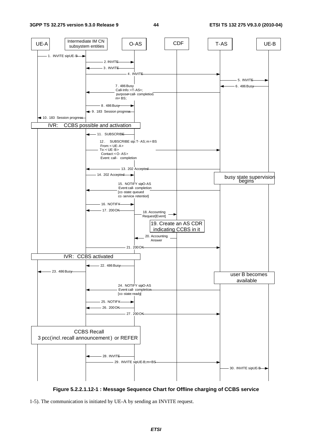

**Figure 5.2.2.1.12-1 : Message Sequence Chart for Offline charging of CCBS service** 

<sup>1-5).</sup> The communication is initiated by UE-A by sending an INVITE request.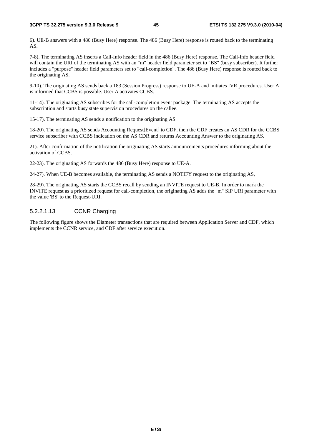6). UE-B answers with a 486 (Busy Here) response. The 486 (Busy Here) response is routed back to the terminating AS.

7-8). The terminating AS inserts a Call-Info header field in the 486 (Busy Here) response. The Call-Info header field will contain the URI of the terminating AS with an "m" header field parameter set to "BS" (busy subscriber). It further includes a "purpose" header field parameters set to "call-completion". The 486 (Busy Here) response is routed back to the originating AS.

9-10). The originating AS sends back a 183 (Session Progress) response to UE-A and initiates IVR procedures. User A is informed that CCBS is possible. User A activates CCBS.

11-14). The originating AS subscribes for the call-completion event package. The terminating AS accepts the subscription and starts busy state supervision procedures on the callee.

15-17). The terminating AS sends a notification to the originating AS.

18-20). The originating AS sends Accounting Request[Event] to CDF, then the CDF creates an AS CDR for the CCBS service subscriber with CCBS indication on the AS CDR and returns Accounting Answer to the originating AS.

21). After confirmation of the notification the originating AS starts announcements procedures informing about the activation of CCBS.

22-23). The originating AS forwards the 486 (Busy Here) response to UE-A.

24-27). When UE-B becomes available, the terminating AS sends a NOTIFY request to the originating AS,

28-29). The originating AS starts the CCBS recall by sending an INVITE request to UE-B. In order to mark the INVITE request as a prioritized request for call-completion, the originating AS adds the "m" SIP URI parameter with the value 'BS' to the Request-URI.

## 5.2.2.1.13 CCNR Charging

The following figure shows the Diameter transactions that are required between Application Server and CDF, which implements the CCNR service, and CDF after service execution.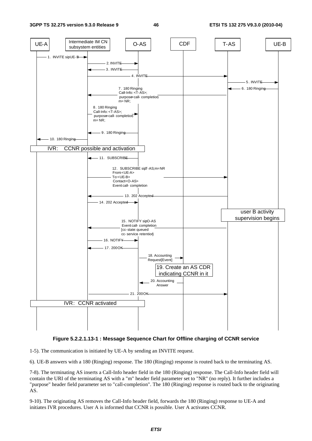

## **Figure 5.2.2.1.13-1 : Message Sequence Chart for Offline charging of CCNR service**

1-5). The communication is initiated by UE-A by sending an INVITE request.

6). UE-B answers with a 180 (Ringing) response. The 180 (Ringing) response is routed back to the terminating AS.

7-8). The terminating AS inserts a Call-Info header field in the 180 (Ringing) response. The Call-Info header field will contain the URI of the terminating AS with a "m" header field parameter set to "NR" (no reply). It further includes a "purpose" header field parameter set to "call-completion". The 180 (Ringing) response is routed back to the originating AS.

9-10). The originating AS removes the Call-Info header field, forwards the 180 (Ringing) response to UE-A and initiates IVR procedures. User A is informed that CCNR is possible. User A activates CCNR.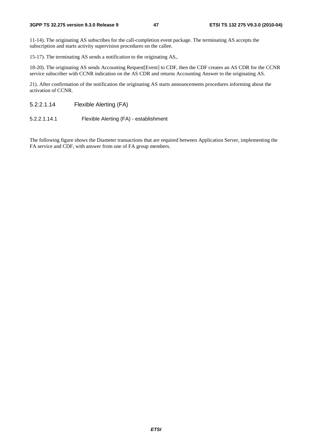11-14). The originating AS subscribes for the call-completion event package. The terminating AS accepts the subscription and starts activity supervision procedures on the callee.

15-17). The terminating AS sends a notification to the originating AS,.

18-20). The originating AS sends Accounting Request[Event] to CDF, then the CDF creates an AS CDR for the CCNR service subscriber with CCNR indication on the AS CDR and returns Accounting Answer to the originating AS.

21). After confirmation of the notification the originating AS starts announcements procedures informing about the activation of CCNR.

5.2.2.1.14 Flexible Alerting (FA)

5.2.2.1.14.1 Flexible Alerting (FA) - establishment

The following figure shows the Diameter transactions that are required between Application Server, implementing the FA service and CDF, with answer from one of FA group members.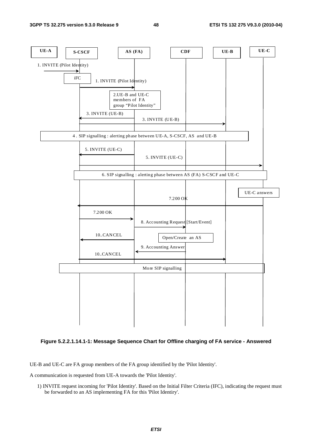



UE-B and UE-C are FA group members of the FA group identified by the 'Pilot Identity'.

A communication is requested from UE-A towards the 'Pilot Identity'.

1) INVITE request incoming for 'Pilot Identity'. Based on the Initial Filter Criteria (IFC), indicating the request must be forwarded to an AS implementing FA for this 'Pilot Identiry'.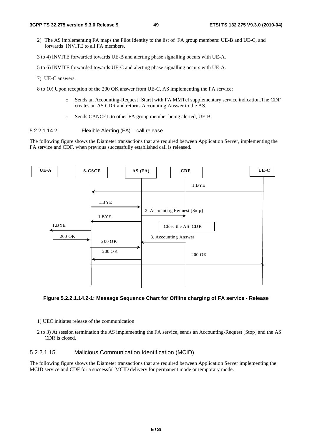- 2) The AS implementing FA maps the Pilot Identity to the list of FA group members: UE-B and UE-C, and forwards INVITE to all FA members.
- 3 to 4) INVITE forwarded towards UE-B and alerting phase signalling occurs with UE-A.

5 to 6) INVITE forwarded towards UE-C and alerting phase signalling occurs with UE-A.

7) UE-C answers.

8 to 10) Upon reception of the 200 OK answer from UE-C, AS implementing the FA service:

- o Sends an Accounting-Request [Start] with FA MMTel supplementary service indication.The CDF creates an AS CDR and returns Accounting Answer to the AS.
- o Sends CANCEL to other FA group member being alerted, UE-B.

5.2.2.1.14.2 Flexible Alerting (FA) – call release

The following figure shows the Diameter transactions that are required between Application Server, implementing the FA service and CDF, when previous successfully established call is released.



#### **Figure 5.2.2.1.14.2-1: Message Sequence Chart for Offline charging of FA service - Release**

- 1) UEC initiates release of the communication
- 2 to 3) At session termination the AS implementing the FA service, sends an Accounting-Request [Stop] and the AS CDR is closed.

# 5.2.2.1.15 Malicious Communication Identification (MCID)

The following figure shows the Diameter transactions that are required between Application Server implementing the MCID service and CDF for a successful MCID delivery for permanent mode or temporary mode.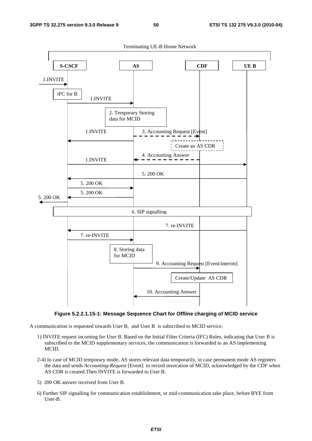

Terminating UE-B Home Network

**Figure 5.2.2.1.15-1: Message Sequence Chart for Offline charging of MCID service** 

A communication is requested towards User B, and User B is subscribed to MCID service.

- 1) INVITE request incoming for User B. Based on the Initial Filter Criteria (IFC) Rules, indicating that User B is subscribed to the MCID supplementary services, the communication is forwarded to an AS implementing MCID.
- 2-4) In case of MCID temporary mode, AS stores relevant data temporarily, in case permanent mode AS registers the data and sends *Accounting-Request* [Event] to record invocation of MCID, acknowledged by the CDF when AS CDR is created.Then INVITE is forwarded to User B.
- 5) 200 OK answer received from User B.
- 6) Further SIP signalling for communication establishment, or mid-communication take place, before BYE from User-B.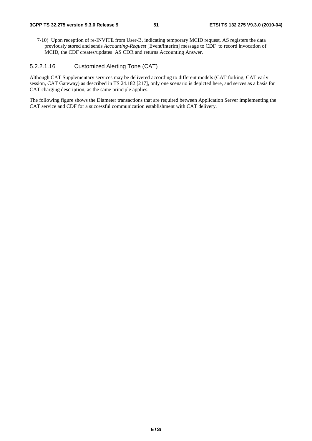7-10) Upon reception of re-INVITE from User-B, indicating temporary MCID request, AS registers the data previously stored and sends *Accounting-Request* [Event/interim] message to CDF to record invocation of MCID, the CDF creates/updates AS CDR and returns Accounting Answer.

# 5.2.2.1.16 Customized Alerting Tone (CAT)

Although CAT Supplementary services may be delivered according to different models (CAT forking, CAT early session, CAT Gateway) as described in TS 24.182 [217], only one scenario is depicted here, and serves as a basis for CAT charging description, as the same principle applies.

The following figure shows the Diameter transactions that are required between Application Server implementing the CAT service and CDF for a successful communication establishment with CAT delivery.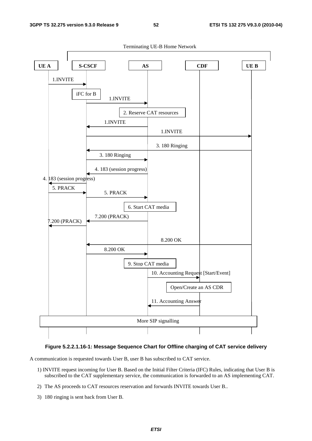

# **Figure 5.2.2.1.16-1: Message Sequence Chart for Offline charging of CAT service delivery**

A communication is requested towards User B, user B has subscribed to CAT service.

- 1) INVITE request incoming for User B. Based on the Initial Filter Criteria (IFC) Rules, indicating that User B is subscribed to the CAT supplementary service, the communication is forwarded to an AS implementing CAT.
- 2) The AS proceeds to CAT resources reservation and forwards INVITE towards User B..
- 3) 180 ringing is sent back from User B.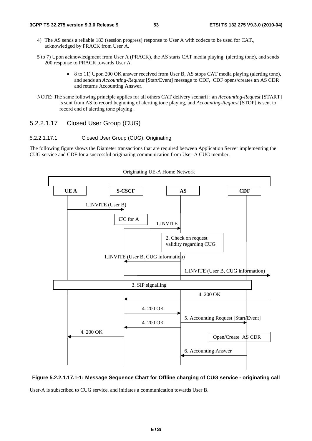- 4) The AS sends a reliable 183 (session progress) response to User A with codecs to be used for CAT., acknowledged by PRACK from User A.
- 5 to 7) Upon acknowledgment from User A (PRACK), the AS starts CAT media playing (alerting tone), and sends 200 response to PRACK towards User A.
	- 8 to 11) Upon 200 OK answer received from User B, AS stops CAT media playing (alerting tone), and sends an *Accounting-Request* [Start/Event] message to CDF, CDF opens/creates an AS CDR and returns Accounting Answer.
- NOTE: The same following principle applies for all others CAT delivery scenarii : an *Accounting-Request* [START] is sent from AS to record beginning of alerting tone playing, and *Accounting-Request* [STOP] is sent to record end of alerting tone playing .

# 5.2.2.1.17 Closed User Group (CUG)

## 5.2.2.1.17.1 Closed User Group (CUG): Originating

The following figure shows the Diameter transactions that are required between Application Server implementing the CUG service and CDF for a successful originating communication from User-A CUG member.



#### Originating UE-A Home Network

### **Figure 5.2.2.1.17.1-1: Message Sequence Chart for Offline charging of CUG service - originating call**

User-A is subscribed to CUG service. and initiates a communication towards User B.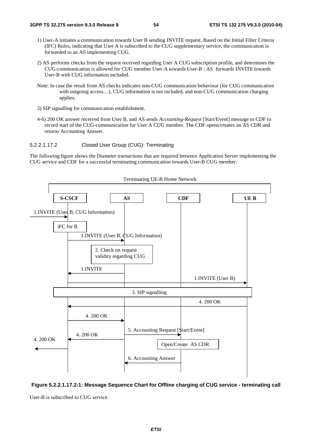- 1) User-A initiates a communication towards User B sending INVITE request. Based on the Initial Filter Criteria (IFC) Rules, indicating that User A is subscribed to the CUG supplementary service, the communication is forwarded to an AS implementing CUG.
- 2) AS performs checks from the request received regarding User A CUG subscription profile, and determines the CUG-communication is allowed for CUG member User-A towards User-B : AS forwards INVITE towards User-B with CUG information included.
- Note: In case the result from AS checks indicates non-CUG communication behaviour (for CUG communication with outgoing access...), CUG information is not included, and non-CUG communication charging applies.
- 3) SIP signalling for communication establishment.
- 4-6) 200 OK answer received from User B, and AS sends *Accounting-Request* [Start/Event] message to CDF to record start of the CUG-communication for User A CUG member. The CDF opens/creates an AS CDR and returns Accounting Answer.
- 5.2.2.1.17.2 Closed User Group (CUG): Terminating

The following figure shows the Diameter transactions that are required between Application Server implementing the CUG service and CDF for a successful terminating communication towards User-B CUG member.



Terminating UE-B Home Network

**Figure 5.2.2.1.17.2-1: Message Sequence Chart for Offline charging of CUG service - terminating call** 

User-B is subscribed to CUG service.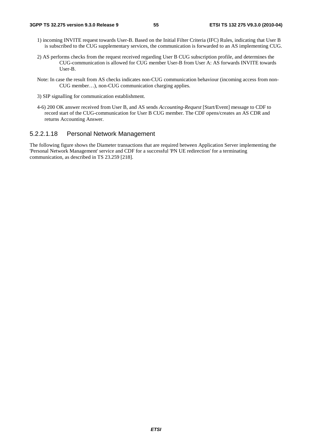- 1) incoming INVITE request towards User-B. Based on the Initial Filter Criteria (IFC) Rules, indicating that User B is subscribed to the CUG supplementary services, the communication is forwarded to an AS implementing CUG.
- 2) AS performs checks from the request received regarding User B CUG subscription profile, and determines the CUG-communication is allowed for CUG member User-B from User A: AS forwards INVITE towards User-B.
- Note: In case the result from AS checks indicates non-CUG communication behaviour (incoming access from non-CUG member…), non-CUG communication charging applies.
- 3) SIP signalling for communication establishment.
- 4-6) 200 OK answer received from User B, and AS sends *Accounting-Request* [Start/Event] message to CDF to record start of the CUG-communication for User B CUG member. The CDF opens/creates an AS CDR and returns Accounting Answer.

# 5.2.2.1.18 Personal Network Management

The following figure shows the Diameter transactions that are required between Application Server implementing the 'Personal Network Management' service and CDF for a successful 'PN UE redirection' for a terminating communication, as described in TS 23.259 [218].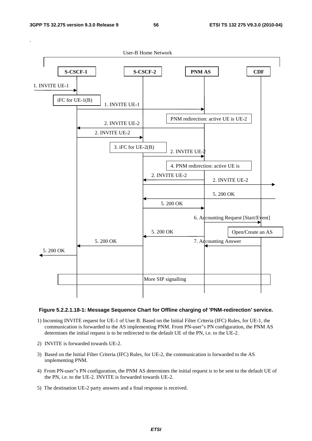

#### **Figure 5.2.2.1.18-1: Message Sequence Chart for Offline charging of 'PNM-redirection' service.**

- 1) Incoming INVITE request for UE-1 of User B. Based on the Initial Filter Criteria (IFC) Rules, for UE-1, the communication is forwarded to the AS implementing PNM. From PN-user"s PN configuration, the PNM AS determines the initial request is to be redirected to the default UE of the PN, i.e. to the UE-2.
- 2) INVITE is forwarded towards UE-2.
- 3) Based on the Initial Filter Criteria (IFC) Rules, for UE-2, the communication is forwarded to the AS implementing PNM.
- 4) From PN-user"s PN configuration, the PNM AS determines the initial request is to be sent to the default UE of the PN, i.e. to the UE-2. INVITE is forwarded towards UE-2.
- 5) The destination UE-2 party answers and a final response is received.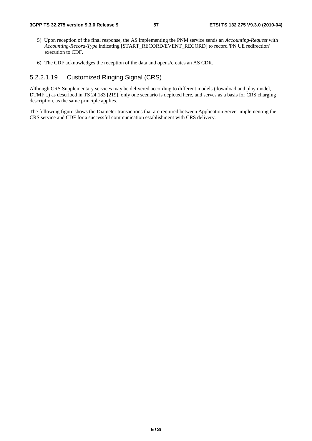- 5) Upon reception of the final response, the AS implementing the PNM service sends an *Accounting-Request* with *Accounting-Record-Type* indicating [START\_RECORD/EVENT\_RECORD] to record 'PN UE redirection' execution to CDF.
- 6) The CDF acknowledges the reception of the data and opens/creates an AS CDR.

# 5.2.2.1.19 Customized Ringing Signal (CRS)

Although CRS Supplementary services may be delivered according to different models (download and play model, DTMF...) as described in TS 24.183 [219], only one scenario is depicted here, and serves as a basis for CRS charging description, as the same principle applies.

The following figure shows the Diameter transactions that are required between Application Server implementing the CRS service and CDF for a successful communication establishment with CRS delivery.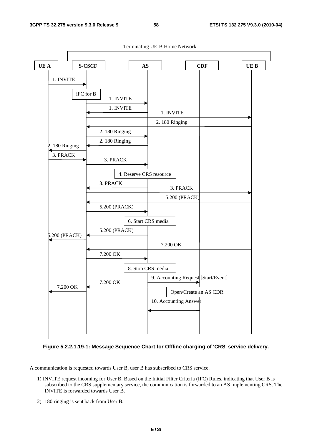

**Figure 5.2.2.1.19-1: Message Sequence Chart for Offline charging of 'CRS' service delivery.** 

A communication is requested towards User B, user B has subscribed to CRS service.

- 1) INVITE request incoming for User B. Based on the Initial Filter Criteria (IFC) Rules, indicating that User B is subscribed to the CRS supplementary service, the communication is forwarded to an AS implementing CRS. The INVITE is forwarded towards User B.
- 2) 180 ringing is sent back from User B.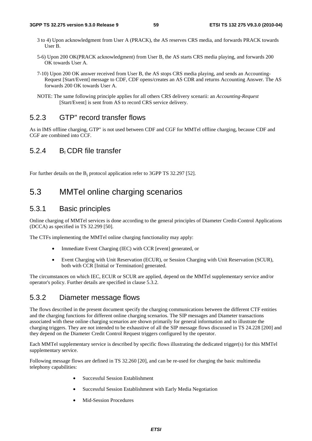- 3 to 4) Upon acknowledgment from User A (PRACK), the AS reserves CRS media, and forwards PRACK towards User B.
- 5-6) Upon 200 OK(PRACK acknowledgment) from User B, the AS starts CRS media playing, and forwards 200 OK towards User A.
- 7-10) Upon 200 OK answer received from User B, the AS stops CRS media playing, and sends an Accounting-Request [Start/Event] message to CDF, CDF opens/creates an AS CDR and returns Accounting Answer. The AS forwards 200 OK towards User A.
- NOTE: The same following principle applies for all others CRS delivery scenarii: an *Accounting-Request* [Start/Event] is sent from AS to record CRS service delivery.

# 5.2.3 GTP" record transfer flows

As in IMS offline charging, GTP" is not used between CDF and CGF for MMTel offline charging, because CDF and CGF are combined into CCF.

# 5.2.4 BI CDR file transfer

For further details on the  $B_i$  protocol application refer to 3GPP TS 32.297 [52].

# 5.3 MMTel online charging scenarios

# 5.3.1 Basic principles

Online charging of MMTel services is done according to the general principles of Diameter Credit-Control Applications (DCCA) as specified in TS 32.299 [50].

The CTFs implementing the MMTel online charging functionality may apply:

- Immediate Event Charging (IEC) with CCR [event] generated, or
- Event Charging with Unit Reservation (ECUR), or Session Charging with Unit Reservation (SCUR), both with CCR [Initial or Termination] generated.

The circumstances on which IEC, ECUR or SCUR are applied, depend on the MMTel supplementary service and/or operator's policy. Further details are specified in clause 5.3.2.

# 5.3.2 Diameter message flows

The flows described in the present document specify the charging communications between the different CTF entities and the charging functions for different online charging scenarios. The SIP messages and Diameter transactions associated with these online charging scenarios are shown primarily for general information and to illustrate the charging triggers. They are not intended to be exhaustive of all the SIP message flows discussed in TS 24.228 [200] and they depend on the Diameter Credit Control Request triggers configured by the operator.

Each MMTel supplementary service is described by specific flows illustrating the dedicated trigger(s) for this MMTel supplementary service.

Following message flows are defined in TS 32.260 [20], and can be re-used for charging the basic multimedia telephony capabilities:

- Successful Session Establishment
- Successful Session Establishment with Early Media Negotiation
- Mid-Session Procedures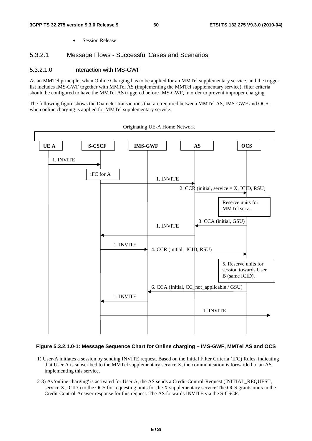• Session Release

# 5.3.2.1 Message Flows - Successful Cases and Scenarios

## 5.3.2.1.0 Interaction with IMS-GWF

As an MMTel principle, when Online Charging has to be applied for an MMTel supplementary service, and the trigger list includes IMS-GWF together with MMTel AS (implementing the MMTel supplementary service), filter criteria should be configured to have the MMTel AS triggered before IMS-GWF, in order to prevent improper charging.

The following figure shows the Diameter transactions that are required between MMTel AS, IMS-GWF and OCS, when online charging is applied for MMTel supplementary service.





## **Figure 5.3.2.1.0-1: Message Sequence Chart for Online charging – IMS-GWF, MMTel AS and OCS**

- 1) User-A initiates a session by sending INVITE request. Based on the Initial Filter Criteria (IFC) Rules, indicating that User A is subscribed to the MMTel supplementary service X, the communication is forwarded to an AS implementing this service.
- 2-3) As 'online charging' is activated for User A, the AS sends a Credit-Control-Request (INITIAL\_REQUEST, service X, ICID.) to the OCS for requesting units for the X supplementary service.The OCS grants units in the Credit-Control-Answer response for this request. The AS forwards INVITE via the S-CSCF.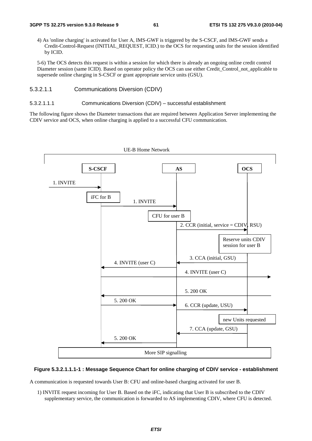4) As 'online charging' is activated for User A, IMS-GWF is triggered by the S-CSCF, and IMS-GWF sends a Credit-Control-Request (INITIAL\_REQUEST, ICID.) to the OCS for requesting units for the session identified by ICID.

5-6) The OCS detects this request is within a session for which there is already an ongoing online credit control Diameter session (same ICID). Based on operator policy the OCS can use either Credit Control not applicable to supersede online charging in S-CSCF or grant appropriate service units (GSU).

## 5.3.2.1.1 Communications Diversion (CDIV)

#### 5.3.2.1.1.1 Communications Diversion (CDIV) – successful establishment

The following figure shows the Diameter transactions that are required between Application Server implementing the CDIV service and OCS, when online charging is applied to a successful CFU communication.



## **Figure 5.3.2.1.1.1-1 : Message Sequence Chart for online charging of CDIV service - establishment**

A communication is requested towards User B: CFU and online-based charging activated for user B.

1) INVITE request incoming for User B. Based on the iFC, indicating that User B is subscribed to the CDIV supplementary service, the communication is forwarded to AS implementing CDIV, where CFU is detected.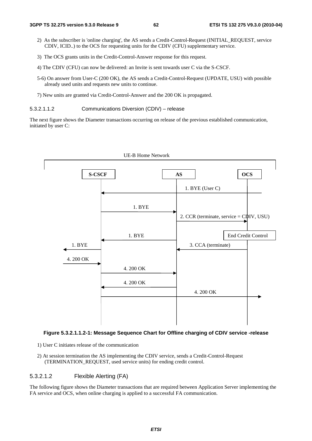- 2) As the subscriber is 'online charging', the AS sends a Credit-Control-Request (INITIAL\_REQUEST, service CDIV, ICID..) to the OCS for requesting units for the CDIV (CFU) supplementary service.
- 3) The OCS grants units in the Credit-Control-Answer response for this request.
- 4) The CDIV (CFU) can now be delivered: an Invite is sent towards user C via the S-CSCF.
- 5-6) On answer from User-C (200 OK), the AS sends a Credit-Control-Request (UPDATE, USU) with possible already used units and requests new units to continue.
- 7) New units are granted via Credit-Control-Answer and the 200 OK is propagated.

5.3.2.1.1.2 Communications Diversion (CDIV) – release

The next figure shows the Diameter transactions occurring on release of the previous established communication, initiated by user C:



### **Figure 5.3.2.1.1.2-1: Message Sequence Chart for Offline charging of CDIV service -release**

- 1) User C initiates release of the communication
- 2) At session termination the AS implementing the CDIV service, sends a Credit-Control-Request (TERMINATION\_REQUEST, used service units) for ending credit control.

## 5.3.2.1.2 Flexible Alerting (FA)

The following figure shows the Diameter transactions that are required between Application Server implementing the FA service and OCS, when online charging is applied to a successful FA communication.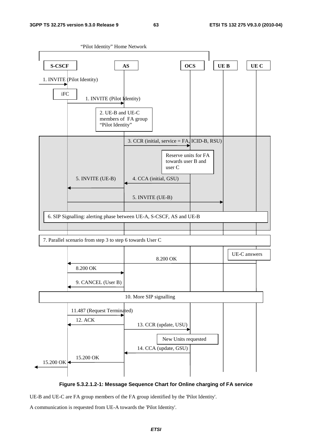

**Figure 5.3.2.1.2-1: Message Sequence Chart for Online charging of FA service** 

UE-B and UE-C are FA group members of the FA group identified by the 'Pilot Identity'.

A communication is requested from UE-A towards the 'Pilot Identity'.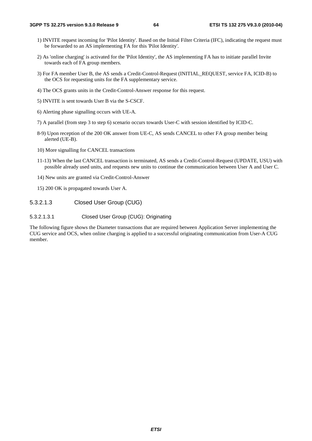- 1) INVITE request incoming for 'Pilot Identity'. Based on the Initial Filter Criteria (IFC), indicating the request must be forwarded to an AS implementing FA for this 'Pilot Identity'.
- 2) As 'online charging' is activated for the 'Pilot Identity', the AS implementing FA has to initiate parallel Invite towards each of FA group members.
- 3) For FA member User B, the AS sends a Credit-Control-Request (INITIAL\_REQUEST, service FA, ICID-B) to the OCS for requesting units for the FA supplementary service.
- 4) The OCS grants units in the Credit-Control-Answer response for this request.
- 5) INVITE is sent towards User B via the S-CSCF.
- 6) Alerting phase signalling occurs with UE-A.
- 7) A parallel (from step 3 to step 6) scenario occurs towards User-C with session identified by ICID-C.
- 8-9) Upon reception of the 200 OK answer from UE-C, AS sends CANCEL to other FA group member being alerted (UE-B).
- 10) More signalling for CANCEL transactions
- 11-13) When the last CANCEL transaction is terminated, AS sends a Credit-Control-Request (UPDATE, USU) with possible already used units, and requests new units to continue the communication between User A and User C.
- 14) New units are granted via Credit-Control-Answer
- 15) 200 OK is propagated towards User A.
- 5.3.2.1.3 Closed User Group (CUG)

### 5.3.2.1.3.1 Closed User Group (CUG): Originating

The following figure shows the Diameter transactions that are required between Application Server implementing the CUG service and OCS, when online charging is applied to a successful originating communication from User-A CUG member.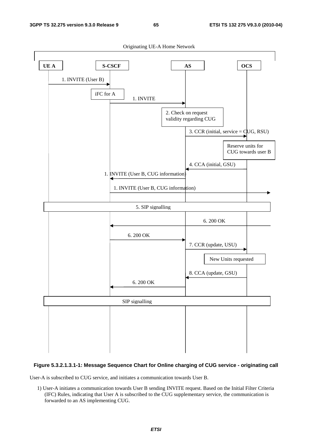

## **Figure 5.3.2.1.3.1-1: Message Sequence Chart for Online charging of CUG service - originating call**

User-A is subscribed to CUG service, and initiates a communication towards User B.

1) User-A initiates a communication towards User B sending INVITE request. Based on the Initial Filter Criteria (IFC) Rules, indicating that User A is subscribed to the CUG supplementary service, the communication is forwarded to an AS implementing CUG.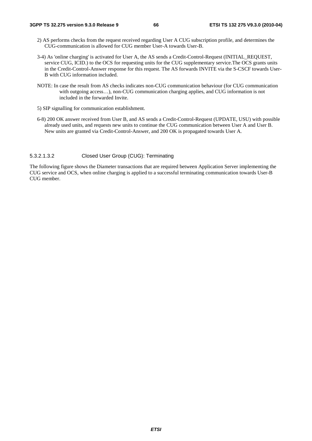- 2) AS performs checks from the request received regarding User A CUG subscription profile, and determines the CUG-communication is allowed for CUG member User-A towards User-B.
- 3-4) As 'online charging' is activated for User A, the AS sends a Credit-Control-Request (INITIAL\_REQUEST, service CUG, ICID.) to the OCS for requesting units for the CUG supplementary service.The OCS grants units in the Credit-Control-Answer response for this request. The AS forwards INVITE via the S-CSCF towards User-B with CUG information included.
- NOTE: In case the result from AS checks indicates non-CUG communication behaviour (for CUG communication with outgoing access…), non-CUG communication charging applies, and CUG information is not included in the forwarded Invite.
- 5) SIP signalling for communication establishment.
- 6-8) 200 OK answer received from User B, and AS sends a Credit-Control-Request (UPDATE, USU) with possible already used units, and requests new units to continue the CUG communication between User A and User B. New units are granted via Credit-Control-Answer, and 200 OK is propagated towards User A.

### 5.3.2.1.3.2 Closed User Group (CUG): Terminating

The following figure shows the Diameter transactions that are required between Application Server implementing the CUG service and OCS, when online charging is applied to a successful terminating communication towards User-B CUG member.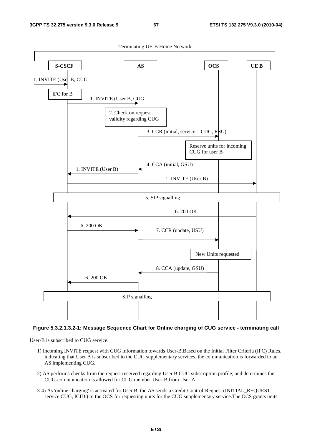

## **Figure 5.3.2.1.3.2-1: Message Sequence Chart for Online charging of CUG service - terminating call**

User-B is subscribed to CUG service.

- 1) Incoming INVITE request with CUG information towards User-B.Based on the Initial Filter Criteria (IFC) Rules, indicating that User B is subscribed to the CUG supplementary services, the communication is forwarded to an AS implementing CUG.
- 2) AS performs checks from the request received regarding User B CUG subscription profile, and determines the CUG-communication is allowed for CUG member User-B from User A.
- 3-4) As 'online charging' is activated for User B, the AS sends a Credit-Control-Request (INITIAL\_REQUEST, service CUG, ICID.) to the OCS for requesting units for the CUG supplementary service.The OCS grants units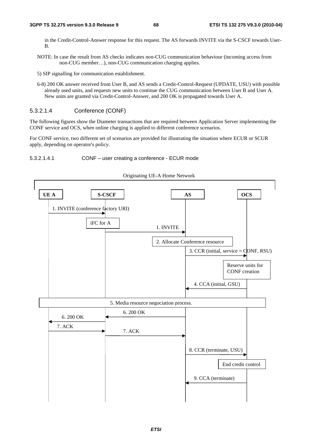in the Credit-Control-Answer response for this request. The AS forwards INVITE via the S-CSCF towards User-B.

- NOTE: In case the result from AS checks indicates non-CUG communication behaviour (incoming access from non-CUG member…), non-CUG communication charging applies.
- 5) SIP signalling for communication establishment.
- 6-8) 200 OK answer received from User B, and AS sends a Credit-Control-Request (UPDATE, USU) with possible already used units, and requests new units to continue the CUG communication between User B and User A. New units are granted via Credit-Control-Answer, and 200 OK is propagated towards User A.

# 5.3.2.1.4 Conference (CONF)

The following figures show the Diameter transactions that are required between Application Server implementing the CONF service and OCS, when online charging is applied to different conference scenarios.

For CONF service, two different set of scenarios are provided for illustrating the situation where ECUR or SCUR apply, depending on operator's policy.





*ETSI*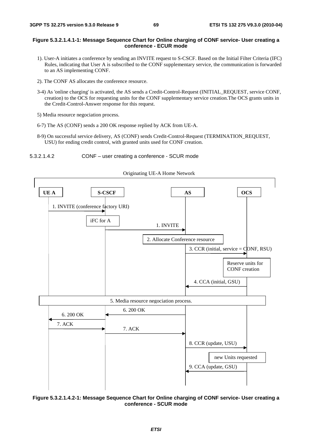## **Figure 5.3.2.1.4.1-1: Message Sequence Chart for Online charging of CONF service- User creating a conference - ECUR mode**

- 1). User-A initiates a conference by sending an INVITE request to S-CSCF. Based on the Initial Filter Criteria (IFC) Rules, indicating that User A is subscribed to the CONF supplementary service, the communication is forwarded to an AS implementing CONF.
- 2). The CONF AS allocates the conference resource.
- 3-4) As 'online charging' is activated, the AS sends a Credit-Control-Request (INITIAL\_REQUEST, service CONF, creation) to the OCS for requesting units for the CONF supplementary service creation.The OCS grants units in the Credit-Control-Answer response for this request.
- 5) Media resource negociation process.
- 6-7) The AS (CONF) sends a 200 OK response replied by ACK from UE-A.
- 8-9) On successful service delivery, AS (CONF) sends Credit-Control-Request (TERMINATION\_REQUEST, USU) for ending credit control, with granted units used for CONF creation.
- 5.3.2.1.4.2 CONF user creating a conference SCUR mode



Originating UE-A Home Network

**Figure 5.3.2.1.4.2-1: Message Sequence Chart for Online charging of CONF service- User creating a conference - SCUR mode**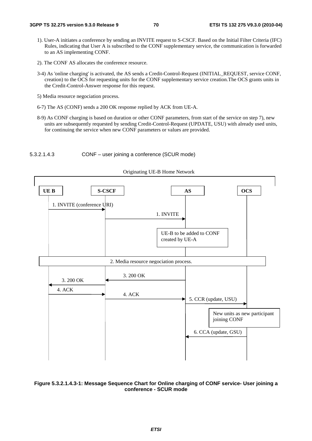- 1). User-A initiates a conference by sending an INVITE request to S-CSCF. Based on the Initial Filter Criteria (IFC) Rules, indicating that User A is subscribed to the CONF supplementary service, the communication is forwarded to an AS implementing CONF.
- 2). The CONF AS allocates the conference resource.
- 3-4) As 'online charging' is activated, the AS sends a Credit-Control-Request (INITIAL\_REQUEST, service CONF, creation) to the OCS for requesting units for the CONF supplementary service creation.The OCS grants units in the Credit-Control-Answer response for this request.
- 5) Media resource negociation process.
- 6-7) The AS (CONF) sends a 200 OK response replied by ACK from UE-A.
- 8-9) As CONF charging is based on duration or other CONF parameters, from start of the service on step 7), new units are subsequently requested by sending Credit-Control-Request (UPDATE, USU) with already used units, for continuing the service when new CONF parameters or values are provided.







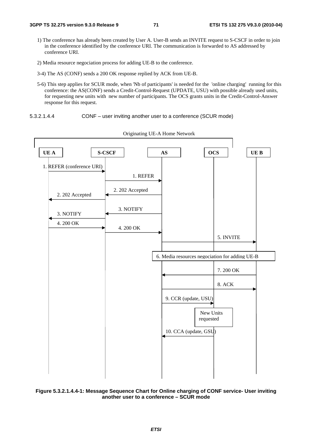- 1) The conference has already been created by User A. User-B sends an INVITE request to S-CSCF in order to join in the conference identified by the conference URI. The communication is forwarded to AS addressed by conference URI.
- 2) Media resource negociation process for adding UE-B to the conference.
- 3-4) The AS (CONF) sends a 200 OK response replied by ACK from UE-B.
- 5-6) This step applies for SCUR mode, when 'Nb of participants' is needed for the 'online charging' running for this conference: the AS(CONF) sends a Credit-Control-Request (UPDATE, USU) with possible already used units, for requesting new units with new number of participants. The OCS grants units in the Credit-Control-Answer response for this request.
- 5.3.2.1.4.4 CONF user inviting another user to a conference (SCUR mode)



Originating UE-A Home Network

**Figure 5.3.2.1.4.4-1: Message Sequence Chart for Online charging of CONF service- User inviting another user to a conference – SCUR mode**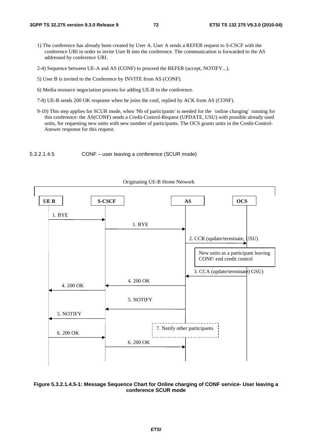- 1) The conference has already been created by User A. User A sends a REFER request to S-CSCF with the conference URI in order to invite User B into the conference. The communication is forwarded to the AS addressed by conference URI.
- 2-4) Sequence between UE-A and AS (CONF) to proceed the REFER (accept, NOTIFY...).
- 5) User B is invited to the Conference by INVITE from AS (CONF).
- 6) Media resource negociation process for adding UE-B to the conference.
- 7-8) UE-B sends 200 OK response when he joins the conf, replied by ACK from AS (CONF).
- 9-10) This step applies for SCUR mode, when 'Nb of participants' is needed for the 'online charging' running for this conference: the AS(CONF) sends a Credit-Control-Request (UPDATE, USU) with possible already used units, for requesting new units with new number of participants. The OCS grants units in the Credit-Control-Answer response for this request.





#### **Figure 5.3.2.1.4.5-1: Message Sequence Chart for Online charging of CONF service- User leaving a conference SCUR mode**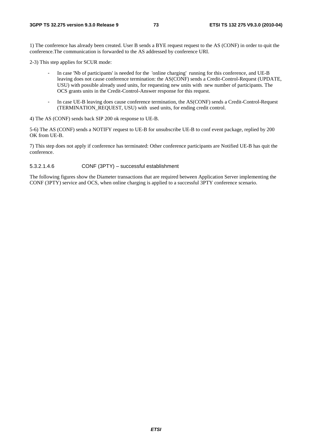1) The conference has already been created. User B sends a BYE request request to the AS (CONF) in order to quit the conference.The communication is forwarded to the AS addressed by conference URI.

2-3) This step applies for SCUR mode:

- In case 'Nb of participants' is needed for the 'online charging' running for this conference, and UE-B leaving does not cause conference termination: the AS(CONF) sends a Credit-Control-Request (UPDATE, USU) with possible already used units, for requesting new units with new number of participants. The OCS grants units in the Credit-Control-Answer response for this request.
- In case UE-B leaving does cause conference termination, the AS(CONF) sends a Credit-Control-Request (TERMINATION\_REQUEST, USU) with used units, for ending credit control.

4) The AS (CONF) sends back SIP 200 ok response to UE-B.

5-6) The AS (CONF) sends a NOTIFY request to UE-B for unsubscribe UE-B to conf event package, replied by 200 OK from UE-B.

7) This step does not apply if conference has terminated: Other conference participants are Notified UE-B has quit the conference.

#### 5.3.2.1.4.6 CONF (3PTY) – successful establishment

The following figures show the Diameter transactions that are required between Application Server implementing the CONF (3PTY) service and OCS, when online charging is applied to a successful 3PTY conference scenario.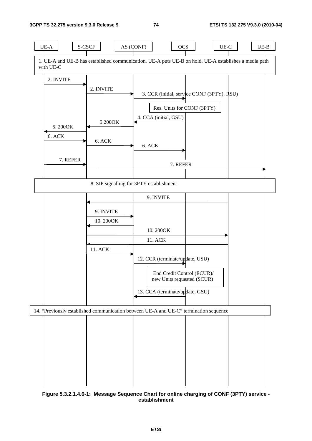

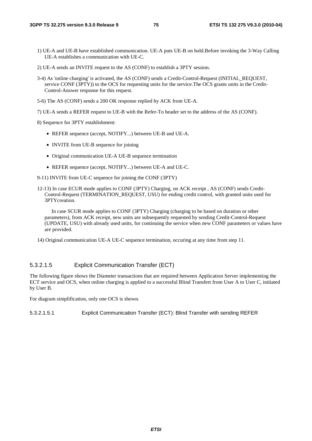- 1) UE-A and UE-B have established communication. UE-A puts UE-B on hold.Before invoking the 3-Way Calling UE-A establishes a communication with UE-C.
- 2) UE-A sends an INVITE request to the AS (CONF) to establish a 3PTY session.
- 3-4) As 'online charging' is activated, the AS (CONF) sends a Credit-Control-Request (INITIAL\_REQUEST, service CONF (3PTY)) to the OCS for requesting units for the service.The OCS grants units in the Credit-Control-Answer response for this request.
- 5-6) The AS (CONF) sends a 200 OK response replied by ACK from UE-A.
- 7) UE-A sends a REFER request to UE-B with the Refer-To header set to the address of the AS (CONF).

8) Sequence for 3PTY establishment:

- REFER sequence (accept, NOTIFY...) between UE-B and UE-A.
- INVITE from UE-B sequence for joining
- Original communication UE-A UE-B sequence termination
- REFER sequence (accept, NOTIFY...) between UE-A and UE-C.
- 9-11) INVITE from UE-C sequence for joining the CONF (3PTY)
- 12-13) In case ECUR mode applies to CONF (3PTY) Charging, on ACK receipt , AS (CONF) sends Credit-Control-Request (TERMINATION\_REQUEST, USU) for ending credit control, with granted units used for 3PTYcreation.

 In case SCUR mode applies to CONF (3PTY) Charging (charging to be based on duration or other parameters), from ACK receipt, new units are subsequently requested by sending Credit-Control-Request (UPDATE, USU) with already used units, for continuing the service when new CONF parameters or values have are provided.

14) Original communication UE-A UE-C sequence termination, occuring at any time from step 11.

### 5.3.2.1.5 Explicit Communication Transfer (ECT)

The following figure shows the Diameter transactions that are required between Application Server implementing the ECT service and OCS, when online charging is applied to a successful Blind Transfert from User A to User C, initiated by User B.

For diagram simplification, only one OCS is shown.

5.3.2.1.5.1 Explicit Communication Transfer (ECT): Blind Transfer with sending REFER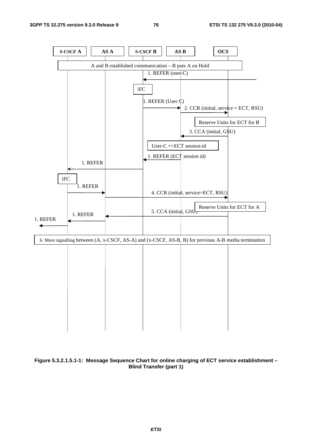

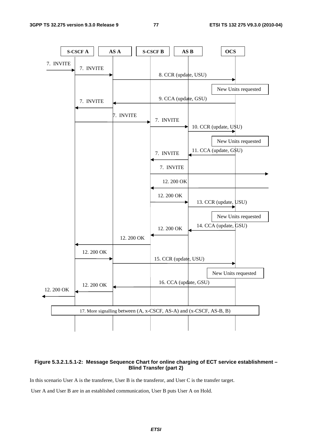

### **Figure 5.3.2.1.5.1-2: Message Sequence Chart for online charging of ECT service establishment – Blind Transfer (part 2)**

In this scenario User A is the transferee, User B is the transferor, and User C is the transfer target.

User A and User B are in an established communication, User B puts User A on Hold.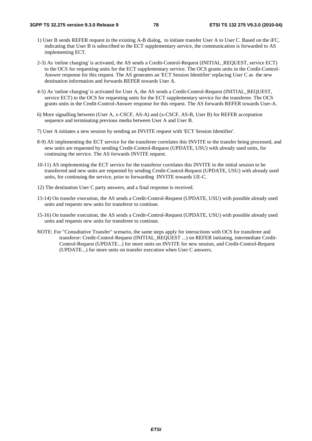- 1) User B sends REFER request in the existing A-B dialog, to initiate transfer User A to User C. Based on the iFC, indicating that User B is subscribed to the ECT supplementary service, the communication is forwarded to AS implementing ECT.
- 2-3) As 'online charging' is activated, the AS sends a Credit-Control-Request (INITIAL\_REQUEST, service ECT) to the OCS for requesting units for the ECT supplementary service. The OCS grants units in the Credit-Control-Answer response for this request. The AS generates an 'ECT Session Identifier' replacing User C as the new destination information and forwards REFER towards User A.
- 4-5) As 'online charging' is activated for User A, the AS sends a Credit-Control-Request (INITIAL\_REQUEST, service ECT) to the OCS for requesting units for the ECT supplementary service for the transferee. The OCS grants units in the Credit-Control-Answer response for this request. The AS forwards REFER towards User-A.
- 6) More signalling between (User A, x-CSCF, AS-A) and (x-CSCF, AS-B, User B) for REFER acceptation sequence and terminating previous media between User A and User B.
- 7) User A initiates a new session by sending an INVITE request with 'ECT Session Identifier'.
- 8-9) AS implementing the ECT service for the transferee correlates this INVITE to the transfer being processed, and new units are requested by sending Credit-Control-Request (UPDATE, USU) with already used units, for continuing the service. The AS forwards INVITE request.
- 10-11) AS implementing the ECT service for the transferor correlates this INVITE to the initial session to be transferred and new units are requested by sending Credit-Control-Request (UPDATE, USU) with already used units, for continuing the service, prior to forwarding INVITE towards UE-C.
- 12) The destination User C party answers, and a final response is received.
- 13-14) On transfer execution, the AS sends a Credit-Control-Request (UPDATE, USU) with possible already used units and requests new units for transferor to continue.
- 15-16) On transfer execution, the AS sends a Credit-Control-Request (UPDATE, USU) with possible already used units and requests new units for transferee to continue.
- NOTE: For "Consultative Transfer" scenario, the same steps apply for interactions with OCS for transferee and transferor: Credit-Control-Request (INITIAL\_REQUEST ...) on REFER initiating, intermediate Credit-Control-Request (UPDATE...) for more units on INVITE for new session, and Credit-Control-Request (UPDATE...) for more units on transfer execution when User C answers.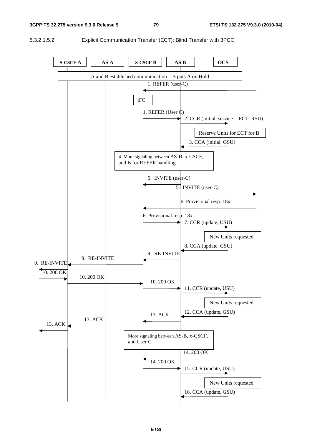5.3.2.1.5.2 Explicit Communication Transfer (ECT): Blind Transfer with 3PCC

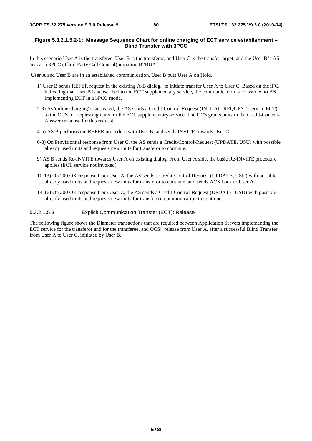### **Figure 5.3.2.1.5.2-1: Message Sequence Chart for online charging of ECT service establishment – Blind Transfer with 3PCC**

In this scenario User A is the transferee, User B is the transferor, and User C is the transfer target, and the User B"s AS acts as a 3PCC (Third Party Call Control) initiating B2BUA:

User A and User B are in an established communication, User B puts User A on Hold.

- 1) User B sends REFER request in the existing A-B dialog, to initiate transfer User A to User C. Based on the iFC, indicating that User B is subscribed to the ECT supplementary service, the communication is forwarded to AS implementing ECT in a 3PCC mode.
- 2-3) As 'online charging' is activated, the AS sends a Credit-Control-Request (INITIAL\_REQUEST, service ECT) to the OCS for requesting units for the ECT supplementary service. The OCS grants units in the Credit-Control-Answer response for this request.
- 4-5) AS B performs the REFER procedure with User B, and sends INVITE towards User C.
- 6-8) On Provisionnal response from User C, the AS sends a Credit-Control-Request (UPDATE, USU) with possible already used units and requests new units for transferor to continue.
- 9) AS B sends Re-INVITE towards User A on existing dialog. From User A side, the basic Re-INVITE procedure applies (ECT service not invoked).
- 10-13) On 200 OK response from User A, the AS sends a Credit-Control-Request (UPDATE, USU) with possible already used units and requests new units for transferor to continue, and sends ACK back to User A.
- 14-16) On 200 OK response from User C, the AS sends a Credit-Control-Request (UPDATE, USU) with possible already used units and requests new units for transferred communication to continue.

5.3.2.1.5.3 Explicit Communication Transfer (ECT): Release

The following figure shows the Diameter transactions that are required between Application Servers implementing the ECT service for the transferor and for the transferee, and OCS: release from User A, after a successful Blind Transfer from User A to User C, initiated by User B.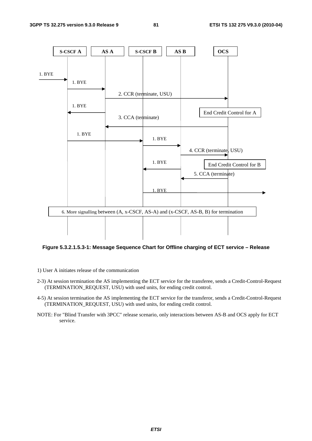

### **Figure 5.3.2.1.5.3-1: Message Sequence Chart for Offline charging of ECT service – Release**

- 1) User A initiates release of the communication
- 2-3) At session termination the AS implementing the ECT service for the transferee, sends a Credit-Control-Request (TERMINATION\_REQUEST, USU) with used units, for ending credit control.
- 4-5) At session termination the AS implementing the ECT service for the transferor, sends a Credit-Control-Request (TERMINATION\_REQUEST, USU) with used units, for ending credit control.
- NOTE: For "Blind Transfer with 3PCC" release scenario, only interactions between AS-B and OCS apply for ECT service.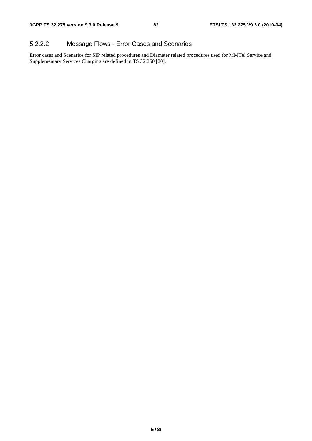### 5.2.2.2 Message Flows - Error Cases and Scenarios

Error cases and Scenarios for SIP related procedures and Diameter related procedures used for MMTel Service and Supplementary Services Charging are defined in TS 32.260 [20].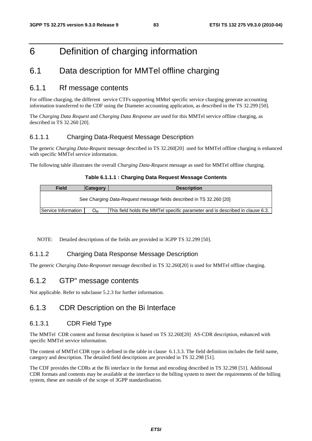## 6 Definition of charging information

### 6.1 Data description for MMTel offline charging

### 6.1.1 Rf message contents

For offline charging, the different service CTFs supporting MMtel specific service charging generate accounting information transferred to the CDF using the Diameter accounting application, as described in the TS 32.299 [50].

The *Charging Data Request* and *Charging Data Response* are used for this MMTel service offline charging, as described in TS 32.260 [20].

### 6.1.1.1 Charging Data-Request Message Description

The generic *Charging Data-Request* message described in TS 32.260[20] used for MMTel offline charging is enhanced with specific MMTel service information.

The following table illustrates the overall *Charging Data-Request* message as used for MMTel offline charging.

### **Table 6.1.1.1 : Charging Data Request Message Contents**

| <b>Field</b>        | <b>Category</b> | <b>Description</b>                                                            |
|---------------------|-----------------|-------------------------------------------------------------------------------|
|                     |                 | See Charging Data-Request message fields described in TS 32.260 [20]          |
| Service Information | Ом              | This field holds the MMTel specific parameter and is described in clause 6.3. |

NOTE: Detailed descriptions of the fields are provided in 3GPP TS 32.299 [50].

### 6.1.1.2 Charging Data Response Message Description

The generic *Charging Data-Responset* message described in TS 32.260[20] is used for MMTel offline charging.

### 6.1.2 GTP" message contents

Not applicable. Refer to subclause 5.2.3 for further information.

### 6.1.3 CDR Description on the Bi Interface

### 6.1.3.1 CDR Field Type

The MMTel CDR content and format description is based on TS 32.260[20] AS-CDR description, enhanced with specific MMTel service information.

The content of MMTel CDR type is defined in the table in clause 6.1.3.3. The field definition includes the field name, category and description. The detailed field descriptions are provided in TS 32.298 [51].

The CDF provides the CDRs at the Bi interface in the format and encoding described in TS 32.298 [51]. Additional CDR formats and contents may be available at the interface to the billing system to meet the requirements of the billing system, these are outside of the scope of 3GPP standardisation.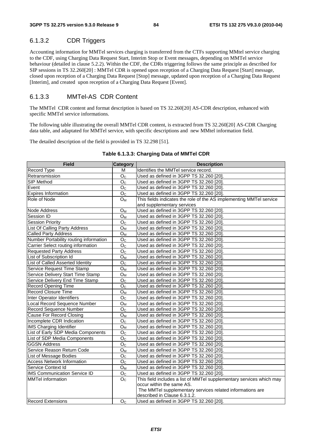### 6.1.3.2 CDR Triggers

Accounting information for MMTel services charging is transferred from the CTFs supporting MMtel service charging to the CDF, using Charging Data Request Start, Interim Stop or Event messages, depending on MMTel service behaviour (detailed in clause 5.2.2). Within the CDF, the CDRs triggering follows the same principle as described for SIP sessions in TS 32.260[20] : MMTel CDR is opened upon reception of a Charging Data Request [Start] message, closed upon reception of a Charging Data Request [Stop] message, updated upon reception of a Charging Data Request [Interim], and created upon reception of a Charging Data Request [Event].

### 6.1.3.3 MMTel-AS CDR Content

The MMTel CDR content and format description is based on TS 32.260[20] AS-CDR description, enhanced with specific MMTel service informations.

The following table illustrating the overall MMTel CDR content, is extracted from TS 32.260[20] AS-CDR Charging data table, and adaptated for MMTel service, with specific descriptions and new MMtel information field.

The detailed description of the field is provided in TS 32.298 [51].

### **Table 6.1.3.3: Charging Data of MMTel CDR**

| <b>Field</b>                           | <b>Category</b>           | <b>Description</b>                                                   |
|----------------------------------------|---------------------------|----------------------------------------------------------------------|
| Record Type                            | М                         | Identifies the MMTel service record.                                 |
| Retransmission                         | O <sub>C</sub>            | Used as defined in 3GPP TS 32.260 [20].                              |
| SIP Method                             | O <sub>C</sub>            | Used as defined in 3GPP TS 32.260 [20].                              |
| Event                                  | O <sub>C</sub>            | Used as defined in 3GPP TS 32.260 [20].                              |
| <b>Expires Information</b>             | O <sub>C</sub>            | Used as defined in 3GPP TS 32.260 [20].                              |
| Role of Node                           | $O_{M}$                   | This fields indicates the role of the AS implementing MMTel service  |
|                                        |                           | and supplementary services                                           |
| Node Address                           | O <sub>M</sub>            | Used as defined in 3GPP TS 32.260 [20].                              |
| Session ID                             | $O_M$                     | Used as defined in 3GPP TS 32.260 [20].                              |
| <b>Session Priority</b>                | O <sub>C</sub>            | Used as defined in 3GPP TS 32.260 [20].                              |
| List Of Calling Party Address          | Oм                        | Used as defined in 3GPP TS 32.260 [20].                              |
| <b>Called Party Address</b>            | ${\mathsf O}_{\mathsf M}$ | Used as defined in 3GPP TS 32.260 [20].                              |
| Number Portability routing information | O <sub>C</sub>            | Used as defined in 3GPP TS 32.260 [20].                              |
| Carrier Select routing information     | O <sub>C</sub>            | Used as defined in 3GPP TS 32.260 [20].                              |
| <b>Requested Party Address</b>         | O <sub>C</sub>            | Used as defined in 3GPP TS 32.260 [20].                              |
| List of Subscription Id                | $O_M$                     | Used as defined in 3GPP TS 32.260 [20].                              |
| List of Called Asserted Identity       | O <sub>C</sub>            | Used as defined in 3GPP TS 32.260 [20].                              |
| Service Request Time Stamp             | $O_{M}$                   | Used as defined in 3GPP TS 32.260 [20].                              |
| Service Delivery Start Time Stamp      | $O_{M}$                   | Used as defined in 3GPP TS 32.260 [20].                              |
| Service Delivery End Time Stamp        | O <sub>C</sub>            | Used as defined in 3GPP TS 32.260 [20].                              |
| Record Opening Time                    | O <sub>C</sub>            | Used as defined in 3GPP TS 32.260 [20].                              |
| <b>Record Closure Time</b>             | ${\mathsf O}_{\mathsf M}$ | Used as defined in 3GPP TS 32.260 [20].                              |
| Inter Operator Identifiers             | O <sub>C</sub>            | Used as defined in 3GPP TS 32.260 [20].                              |
| Local Record Sequence Number           | ${\mathsf O}_{\mathsf M}$ | Used as defined in 3GPP TS 32.260 [20].                              |
| <b>Record Sequence Number</b>          | O <sub>C</sub>            | Used as defined in 3GPP TS 32.260 [20].                              |
| Cause For Record Closing               | $O_M$                     | Used as defined in 3GPP TS 32.260 [20].                              |
| Incomplete CDR Indication              | $\mathsf{O}_\mathbb{C}$   | Used as defined in 3GPP TS 32.260 [20].                              |
| <b>IMS Charging Identifier</b>         | O <sub>M</sub>            | Used as defined in 3GPP TS 32.260 [20].                              |
| List of Early SDP Media Components     | $\mathsf{O}_\mathbb{C}$   | Used as defined in 3GPP TS 32.260 [20].                              |
| List of SDP Media Components           | O <sub>C</sub>            | Used as defined in 3GPP TS 32.260 [20].                              |
| <b>GGSN Address</b>                    | O <sub>C</sub>            | Used as defined in 3GPP TS 32.260 [20].                              |
| Service Reason Return Code             | $O_{M}$                   | Used as defined in 3GPP TS 32.260 [20]                               |
| List of Message Bodies                 | O <sub>C</sub>            | Used as defined in 3GPP TS 32.260 [20].                              |
| <b>Access Network Information</b>      | O <sub>C</sub>            | Used as defined in 3GPP TS 32.260 [20].                              |
| Service Context Id                     | $O_{M}$                   | Used as defined in 3GPP TS 32.260 [20].                              |
| <b>IMS Communication Service ID</b>    | $\mathsf{O}_\mathbb{C}$   | Used as defined in 3GPP TS 32.260 [20].                              |
| <b>MMTel information</b>               | O <sub>C</sub>            | This field includes a list of MMTel supplementary services which may |
|                                        |                           | occur within the same AS.                                            |
|                                        |                           | The MMTel supplementary services related informations are            |
|                                        |                           | described in Clause 6.3.1.2.                                         |
| <b>Record Extensions</b>               | O <sub>C</sub>            | Used as defined in 3GPP TS 32.260 [20].                              |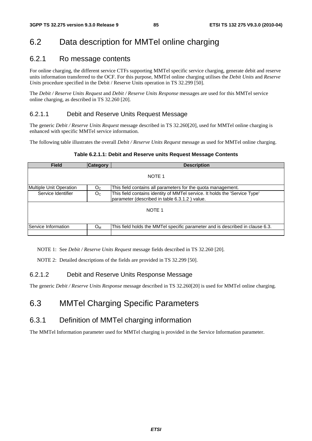### 6.2 Data description for MMTel online charging

### 6.2.1 Ro message contents

For online charging, the different service CTFs supporting MMTel specific service charging, generate debit and reserve units information transferred to the OCF. For this purpose, MMTel online charging utilises the *Debit Units* and *Reserve Units* procedure specified in the Debit / Reserve Units operation in TS 32.299 [50].

The *Debit / Reserve Units Request* and *Debit / Reserve Units Response* messages are used for this MMTel service online charging, as described in TS 32.260 [20].

### 6.2.1.1 Debit and Reserve Units Request Message

The generic *Debit / Reserve Units Request* message described in TS 32.260[20], used for MMTel online charging is enhanced with specific MMTel service information.

The following table illustrates the overall *Debit / Reserve Units Request* message as used for MMTel online charging.

### **Table 6.2.1.1: Debit and Reserve units Request Message Contents**

| <b>Field</b>            | <b>Category</b> | <b>Description</b>                                                                                                          |  |  |
|-------------------------|-----------------|-----------------------------------------------------------------------------------------------------------------------------|--|--|
|                         |                 | NOTE 1                                                                                                                      |  |  |
| Multiple Unit Operation | O <sub>C</sub>  | This field contains all parameters for the quota management.                                                                |  |  |
| Service Identifier      | O <sub>C</sub>  | This field contains identity of MMTel service. It holds the 'Service Type'<br>parameter (described in table 6.3.1.2) value. |  |  |
| NOTE <sub>1</sub>       |                 |                                                                                                                             |  |  |
| Service Information     | $O_{M}$         | This field holds the MMTel specific parameter and is described in clause 6.3.                                               |  |  |
|                         |                 |                                                                                                                             |  |  |

NOTE 1: See *Debit / Reserve Units Request* message fields described in TS 32.260 [20].

NOTE 2: Detailed descriptions of the fields are provided in TS 32.299 [50].

### 6.2.1.2 Debit and Reserve Units Response Message

The generic *Debit / Reserve Units Response* message described in TS 32.260[20] is used for MMTel online charging.

### 6.3 MMTel Charging Specific Parameters

### 6.3.1 Definition of MMTel charging information

The MMTel Information parameter used for MMTel charging is provided in the Service Information parameter.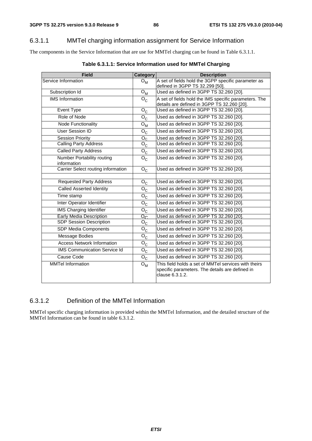### 6.3.1.1 MMTel charging information assignment for Service Information

The components in the Service Information that are use for MMTel charging can be found in Table 6.3.1.1.

| <b>Field</b>                              | Category                  | <b>Description</b>                                                                                                         |
|-------------------------------------------|---------------------------|----------------------------------------------------------------------------------------------------------------------------|
| Service Information                       | $O_{\mathsf{M}}$          | A set of fields hold the 3GPP specific parameter as                                                                        |
|                                           |                           | defined in 3GPP TS 32.299 [50].                                                                                            |
| Subscription Id                           | ${\mathsf O}_{\mathsf M}$ | Used as defined in 3GPP TS 32.260 [20].                                                                                    |
| <b>IMS</b> Information                    | $O_{C}$                   | A set of fields hold the IMS specific parameters. The                                                                      |
|                                           |                           | details are defined in 3GPP TS 32.260 [20].                                                                                |
| Event Type                                | $O_{C}$                   | Used as defined in 3GPP TS 32.260 [20].                                                                                    |
| Role of Node                              | $\overline{O}_C$          | Used as defined in 3GPP TS 32.260 [20].                                                                                    |
| <b>Node Functionality</b>                 | $O_{M}$                   | Used as defined in 3GPP TS 32.260 [20].                                                                                    |
| User Session ID                           | ${\sf O}_{\sf C}$         | Used as defined in 3GPP TS 32.260 [20].                                                                                    |
| <b>Session Priority</b>                   | O <sub>C</sub>            | Used as defined in 3GPP TS 32.260 [20].                                                                                    |
| <b>Calling Party Address</b>              | $\mathsf{o}_{\mathsf{c}}$ | Used as defined in 3GPP TS 32.260 [20].                                                                                    |
| <b>Called Party Address</b>               | $O_{\rm C}$               | Used as defined in 3GPP TS 32.260 [20].                                                                                    |
| Number Portability routing<br>information | ${\mathsf O}_{\mathsf C}$ | Used as defined in 3GPP TS 32.260 [20].                                                                                    |
| Carrier Select routing information        | $O_{C}$                   | Used as defined in 3GPP TS 32.260 [20].                                                                                    |
|                                           |                           |                                                                                                                            |
| <b>Requested Party Address</b>            | $O_{C}$                   | Used as defined in 3GPP TS 32.260 [20].                                                                                    |
| <b>Called Asserted Identity</b>           | $\overline{O}_C$          | Used as defined in 3GPP TS 32.260 [20].                                                                                    |
| Time stamp                                | $O_{C}$                   | Used as defined in 3GPP TS 32.260 [20].                                                                                    |
| Inter Operator Identifier                 | $O_{C}$                   | Used as defined in 3GPP TS 32.260 [20].                                                                                    |
| <b>IMS Charging Identifier</b>            | $O_{C}$                   | Used as defined in 3GPP TS 32.260 [20].                                                                                    |
| <b>Early Media Description</b>            | $O_{\Omega}$              | Used as defined in 3GPP TS 32.260 [20].                                                                                    |
| <b>SDP Session Description</b>            | ${\mathsf O}_{\mathsf C}$ | Used as defined in 3GPP TS 32.260 [20].                                                                                    |
| SDP Media Components                      | $\mathsf{o}_{\mathsf{C}}$ | Used as defined in 3GPP TS 32.260 [20].                                                                                    |
| Message Bodies                            | ${\mathsf O}_{\mathsf C}$ | Used as defined in 3GPP TS 32.260 [20].                                                                                    |
| <b>Access Network Information</b>         | ${\sf O}_{\sf C}$         | Used as defined in 3GPP TS 32.260 [20].                                                                                    |
| <b>IMS Communication Service Id</b>       | $O_{\rm C}$               | Used as defined in 3GPP TS 32.260 [20].                                                                                    |
| Cause Code                                | $O_{C}$                   | Used as defined in 3GPP TS 32.260 [20].                                                                                    |
| <b>MMTel Information</b>                  | $O_{M}$                   | This field holds a set of MMTel services with theirs<br>specific parameters. The details are defined in<br>clause 6.3.1.2. |

### **Table 6.3.1.1: Service Information used for MMTel Charging**

### 6.3.1.2 Definition of the MMTel Information

MMTel specific charging information is provided within the MMTel Information, and the detailed structure of the MMTel Information can be found in table 6.3.1.2.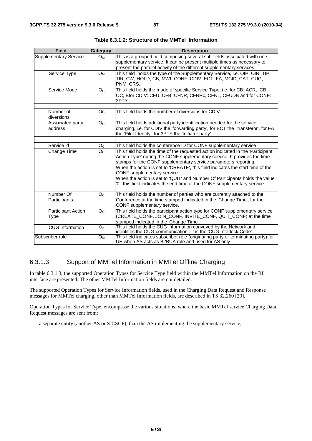| <b>Field</b>                 | <b>Category</b> | <b>Description</b>                                                                                                                                                                                                                                                                                                                                                                                                                                                                                          |
|------------------------------|-----------------|-------------------------------------------------------------------------------------------------------------------------------------------------------------------------------------------------------------------------------------------------------------------------------------------------------------------------------------------------------------------------------------------------------------------------------------------------------------------------------------------------------------|
| <b>Supplementary Service</b> | $O_M$           | This is a grouped field comprising several sub-fields associated with one<br>supplementary service. It can be present multiple times as necessary to<br>present the parallel activity of the different supplementary services.                                                                                                                                                                                                                                                                              |
| Service Type                 | $O_{M}$         | This field holds the type of the Supplementary Service, i.e. OIP, OIR, TIP,<br>TIR, CW, HOLD, CB, MWI, CONF, CDIV, ECT, FA, MCID, CAT, CUG,<br>PNM, CRS.                                                                                                                                                                                                                                                                                                                                                    |
| Service Mode                 | O <sub>C</sub>  | This field holds the mode of specific Service Type, i.e. for CB: ACR, ICB,<br>OC, Bfor CDIV: CFU, CFB, CFNR, CFNRc, CFNL, CFUDB and for CONF:<br>3PTY.                                                                                                                                                                                                                                                                                                                                                      |
|                              |                 |                                                                                                                                                                                                                                                                                                                                                                                                                                                                                                             |
| Number of<br>diversions      | Oc              | This field holds the number of diversions for CDIV.                                                                                                                                                                                                                                                                                                                                                                                                                                                         |
| Associated party<br>address  | O <sub>C</sub>  | This field holds additional party identification needed for the service<br>charging, i.e. for CDIV the 'forwarding party', for ECT the 'transferor', for FA<br>the 'Pilot Identity', for 3PTY the 'Initiator party'.                                                                                                                                                                                                                                                                                        |
|                              |                 |                                                                                                                                                                                                                                                                                                                                                                                                                                                                                                             |
| Service id                   | O <sub>C</sub>  | This field holds the conference ID for CONF supplementary service                                                                                                                                                                                                                                                                                                                                                                                                                                           |
| Change Time                  | O <sub>C</sub>  | This field holds the time of the requested action indicated in the 'Participant<br>Action Type' during the CONF supplementary service. It provides the time<br>stamps for the CONF supplementary service parameters reporting.<br>When the action is set to 'CREATE', this field indicates the start time of the<br>CONF supplementary service.<br>When the action is set to 'QUIT' and Number Of Participants holds the value<br>'0', this field indicates the end time of the CONF supplementary service. |
| Number Of                    | O <sub>C</sub>  | This field holds the number of parties who are currently attached to the                                                                                                                                                                                                                                                                                                                                                                                                                                    |
| Participants                 |                 | Conference at the time stamped indicated in the 'Change Time', for the<br>CONF supplementary service.                                                                                                                                                                                                                                                                                                                                                                                                       |
| <b>Participant Action</b>    | O <sub>C</sub>  | This field holds the participant action type for CONF supplementary service                                                                                                                                                                                                                                                                                                                                                                                                                                 |
| <b>Type</b>                  |                 | (CREATE_CONF, JOIN_CONF, INVITE_CONF, QUIT_CONF) at the time<br>stamped indicated in the 'Change Time'.                                                                                                                                                                                                                                                                                                                                                                                                     |
| <b>CUG Information</b>       | $O_{C}$         | This field holds the CUG information conveyed by the Network and<br>identifies the CUG-communication : it is the 'CUG Interlock Code'.                                                                                                                                                                                                                                                                                                                                                                      |
| Subscriber role              | $O_{M}$         | This field indicates subscriber role (originating party or terminating party) for<br>UE when AS acts as B2BUA role and used for AS only                                                                                                                                                                                                                                                                                                                                                                     |

**Table 6.3.1.2: Structure of the MMTel Information** 

### 6.3.1.3 Support of MMTel Information in MMTel Offline Charging

In table 6.3.1.3, the supported Operation Types for Service Type field within the MMTel Information on the Rf interface are presented. The other MMTel Information fields are not detailed.

The supported Operation Types for Service Information fields, used in the Charging Data Request and Response messages for MMTel charging, other than MMTel Information fields, are described in TS 32.260 [20].

Operation Types for Service Type, encompasse the various situations, where the basic MMTel service Charging Data Request messages are sent from:

a separate entity (another AS or S-CSCF), than the AS implementing the supplementary service,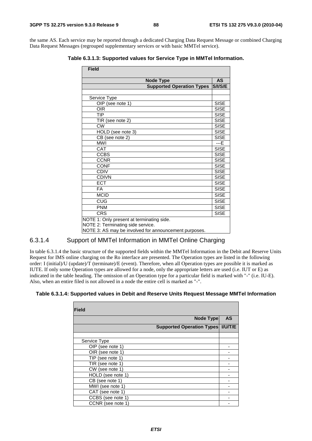the same AS. Each service may be reported through a dedicated Charging Data Request Message or combined Charging Data Request Messages (regrouped supplementary services or with basic MMTel service).

**Table 6.3.1.3: Supported values for Service Type in MMTel Information.** 

| <b>Field</b>                                          |             |  |  |  |
|-------------------------------------------------------|-------------|--|--|--|
| <b>Node Type</b>                                      | <b>AS</b>   |  |  |  |
| <b>Supported Operation Types</b>                      | S/I/S/E     |  |  |  |
|                                                       |             |  |  |  |
| Service Type                                          |             |  |  |  |
| OIP (see note 1)                                      | <b>SISE</b> |  |  |  |
| <b>OIR</b>                                            | <b>SISE</b> |  |  |  |
| <b>TIP</b>                                            | <b>SISE</b> |  |  |  |
| TIR (see note 2)                                      | <b>SISE</b> |  |  |  |
| <b>CW</b>                                             | <b>SISE</b> |  |  |  |
| HOLD (see note 3)                                     | <b>SISE</b> |  |  |  |
| $\overline{\text{CB}}$ (see note 2)                   | <b>SISE</b> |  |  |  |
| <b>MWI</b>                                            | $---E$      |  |  |  |
| CAT                                                   | <b>SISE</b> |  |  |  |
| <b>CCBS</b>                                           | <b>SISE</b> |  |  |  |
| <b>CCNR</b>                                           | <b>SISE</b> |  |  |  |
| <b>CONF</b>                                           | <b>SISE</b> |  |  |  |
| <b>CDIV</b>                                           | <b>SISE</b> |  |  |  |
| <b>CDIVN</b>                                          | <b>SISE</b> |  |  |  |
| <b>ECT</b>                                            | <b>SISE</b> |  |  |  |
| <b>FA</b>                                             | <b>SISE</b> |  |  |  |
| <b>MCID</b>                                           | <b>SISE</b> |  |  |  |
| CUG                                                   | <b>SISE</b> |  |  |  |
| <b>PNM</b>                                            | <b>SISE</b> |  |  |  |
| <b>CRS</b>                                            | <b>SISE</b> |  |  |  |
| NOTE 1: Only present at terminating side.             |             |  |  |  |
| NOTE 2: Terminating side service.                     |             |  |  |  |
| NOTE 3: AS may be involved for announcement purposes. |             |  |  |  |

### 6.3.1.4 Support of MMTel Information in MMTel Online Charging

In table 6.3.1.4 the basic structure of the supported fields within the MMTel Information in the Debit and Reserve Units Request for IMS online charging on the Ro interface are presented. The Operation types are listed in the following order: I (initial)/U (update)/T (terminate)/E (event). Therefore, when all Operation types are possible it is marked as IUTE. If only some Operation types are allowed for a node, only the appropriate letters are used (i.e. IUT or E) as indicated in the table heading. The omission of an Operation type for a particular field is marked with "-" (i.e. IU-E). Also, when an entire filed is not allowed in a node the entire cell is marked as "-".

### **Table 6.3.1.4: Supported values in Debit and Reserve Units Request Message MMTel Information**

| <b>Field</b>      |                                     |           |
|-------------------|-------------------------------------|-----------|
|                   | <b>Node Type</b>                    | <b>AS</b> |
|                   | Supported Operation Types   I/U/T/E |           |
|                   |                                     |           |
| Service Type      |                                     |           |
| OIP (see note 1)  |                                     |           |
| OIR (see note 1)  |                                     |           |
| TIP (see note 1)  |                                     |           |
| TIR (see note 1)  |                                     |           |
| CW (see note 1)   |                                     |           |
| HOLD (see note 1) |                                     |           |
| CB (see note 1)   |                                     |           |
| MWI (see note 1)  |                                     |           |
| CAT (see note 1)  |                                     |           |
| CCBS (see note 1) |                                     |           |
| CCNR (see note 1) |                                     |           |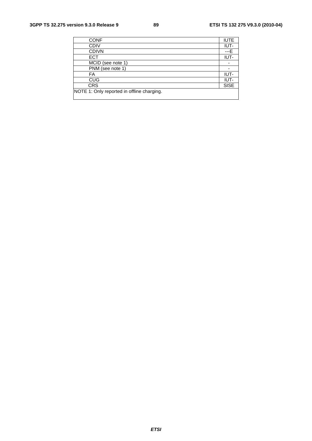| <b>CONF</b>                                | <b>IUTE</b> |
|--------------------------------------------|-------------|
| <b>CDIV</b>                                | IUT-        |
| <b>CDIVN</b>                               | ---E        |
| <b>ECT</b>                                 | IUT-        |
| MCID (see note 1)                          |             |
| PNM (see note 1)                           |             |
| FA                                         | IUT-        |
| <b>CUG</b>                                 | IUT-        |
| <b>CRS</b>                                 | <b>SISE</b> |
| NOTE 1: Only reported in offline charging. |             |
|                                            |             |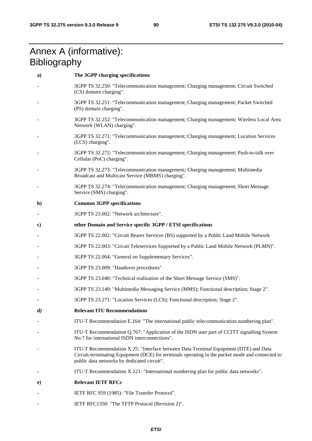## Annex A (informative): **Bibliography**

| a)           | The 3GPP charging specifications                                                                                                                                                                                                       |
|--------------|----------------------------------------------------------------------------------------------------------------------------------------------------------------------------------------------------------------------------------------|
|              | 3GPP TS 32.250: "Telecommunication management; Charging management; Circuit Switched<br>(CS) domain charging".                                                                                                                         |
|              | 3GPP TS 32.251: "Telecommunication management; Charging management; Packet Switched<br>(PS) domain charging".                                                                                                                          |
|              | 3GPP TS 32.252: "Telecommunication management; Charging management; Wireless Local Area<br>Network (WLAN) charging".                                                                                                                   |
|              | 3GPP TS 32.271: "Telecommunication management; Charging management; Location Services<br>(LCS) charging".                                                                                                                              |
|              | 3GPP TS 32.272: "Telecommunication management; Charging management; Push-to-talk over<br>Cellular (PoC) charging".                                                                                                                     |
|              | 3GPP TS 32.273: "Telecommunication management; Charging management; Multimedia<br>Broadcast and Multicast Service (MBMS) charging".                                                                                                    |
|              | 3GPP TS 32.274: "Telecommunication management; Charging management; Short Message<br>Service (SMS) charging".                                                                                                                          |
| $\mathbf{b}$ | <b>Common 3GPP specifications</b>                                                                                                                                                                                                      |
|              | 3GPP TS 23.002: "Network architecture".                                                                                                                                                                                                |
| $\bf c)$     | other Domain and Service specific 3GPP / ETSI specifications                                                                                                                                                                           |
|              | 3GPP TS 22.002: "Circuit Bearer Services (BS) supported by a Public Land Mobile Network                                                                                                                                                |
|              | 3GPP TS 22.003: "Circuit Teleservices Supported by a Public Land Mobile Network (PLMN)".                                                                                                                                               |
|              | 3GPP TS 22.004: "General on Supplementary Services".                                                                                                                                                                                   |
|              | 3GPP TS 23.009: "Handover procedures"                                                                                                                                                                                                  |
|              | 3GPP TS 23.040: "Technical realization of the Short Message Service (SMS)".                                                                                                                                                            |
|              | 3GPP TS 23.140: "Multimedia Messaging Service (MMS); Functional description; Stage 2".                                                                                                                                                 |
|              | 3GPP TS 23.271: "Location Services (LCS); Functional description; Stage 2".                                                                                                                                                            |
| d)           | <b>Relevant ITU Recommendations</b>                                                                                                                                                                                                    |
|              | ITU-T Recommendation E.164: "The international public telecommunication numbering plan".                                                                                                                                               |
|              | ITU-T Recommendation Q.767: "Application of the ISDN user part of CCITT signalling System<br>No.7 for international ISDN interconnections".                                                                                            |
|              | ITU-T Recommendation X.25: "Interface between Data Terminal Equipment (DTE) and Data<br>Circuit-terminating Equipment (DCE) for terminals operating in the packet mode and connected to<br>public data networks by dedicated circuit". |
|              | ITU-T Recommendation X.121: "International numbering plan for public data networks".                                                                                                                                                   |
| e)           | <b>Relevant IETF RFCs</b>                                                                                                                                                                                                              |
|              | IETF RFC 959 (1985): "File Transfer Protocol".                                                                                                                                                                                         |
|              |                                                                                                                                                                                                                                        |

- IETF RFC1350: "The TFTP Protocol (Revision 2)".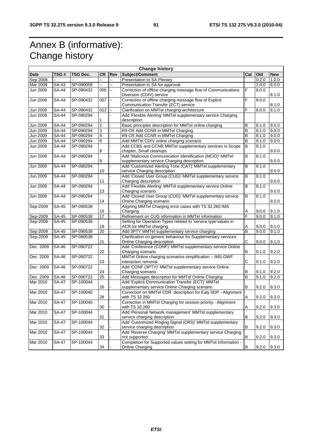# Annex B (informative): Change history

| <b>Change history</b> |                    |           |                 |                          |                                                                 |     |       |            |
|-----------------------|--------------------|-----------|-----------------|--------------------------|-----------------------------------------------------------------|-----|-------|------------|
| <b>Date</b>           | TSG #              | TSG Doc.  | <b>CR</b>       | <b>Rev</b>               | Subject/Comment                                                 | Cat | Old   | <b>New</b> |
| Sep 2008              |                    |           |                 | ц,                       | Presentation to SA Plenary                                      |     | 0.2.0 | 1.0.0      |
| Mar 2009              | SA-43              | SP-090058 | Щ.              | L.                       | Presentation to SA for approval                                 |     | 2.0.0 | 8.0.0      |
| <b>Jun 2009</b>       | <b>SA-44</b>       | SP-090432 | 005             | $\overline{\phantom{a}}$ | Correction of offline charging message flow of Communications   | F   | 8.0.0 |            |
|                       |                    |           |                 |                          | Diversion (CDIV) service                                        |     |       | 8.1.0      |
| Jun 2009              | <b>SA-44</b>       | SP-090432 | 007             | --                       | Correction of offline charging message flow of Explicit         | F   | 8.0.0 |            |
|                       |                    |           |                 |                          | Communication Transfer (ECT) service                            |     |       | 8.1.0      |
| Jun 2009              | <b>SA-44</b>       | SP-090432 | 012             | Ш.                       | Clarification on MMTel charging architecture                    | F   | 8.0.0 | 8.1.0      |
| Jun 2009              | <b>SA-44</b>       | SP-090294 |                 |                          | Add 'Flexible Alerting' MMTel supplementary service Charging    |     |       |            |
|                       |                    |           |                 |                          | description                                                     |     |       |            |
| Jun 2009              | <b>SA-44</b>       | SP-090294 | $\overline{2}$  |                          | Basic principles description for MMTel online charging          | в   | 8.1.0 | 9.0.0      |
| Jun 2009              | <b>SA-44</b>       | SP-090294 | 3               |                          | R9 CR Add CCNR in MMTel Charging                                | B   | 8.1.0 | 9.0.0      |
| Jun 2009              | SA-44              | SP-090294 | 4               |                          | R9 CR Add CCNR in MMTel Charging                                | B   | 8.1.0 | 9.0.0      |
| Jun 2009              | <b>SA-44</b>       | SP-090294 | 6               |                          | Add MMTel CDIV online charging scenario                         | B   | 8.1.0 | 9.0.0      |
| <b>Jun 2009</b>       | <b>SA-44</b>       | SP-090294 |                 |                          | Add CCBS and CCNR MMTel supplementary services in Scope         | B   | 8.1.0 |            |
|                       |                    |           | 8               |                          | chapter. Small cleanups                                         |     |       | 9.0.0      |
| Jun 2009              | <b>SA-44</b>       | SP-090294 |                 |                          | Add 'Malicious Communication Identification (MCID)' MMTel       | В   | 8.1.0 |            |
|                       |                    |           | 9               |                          | supplementary service Charging description                      |     |       | 9.0.0      |
| <b>Jun 2009</b>       | <b>SA-44</b>       | SP-090294 |                 |                          | Add 'Customized Alerting Tone (CAT)' MMTel supplementary        | В   | 8.1.0 |            |
|                       |                    |           | 10              |                          | service Charging description                                    |     |       | 9.0.0      |
| Jun 2009              | <b>SA-44</b>       | SP-090294 |                 |                          | Add 'Closed User Group (CUG)' MMTel supplementary service       | В   | 8.1.0 |            |
|                       |                    |           | 11              |                          | Charging description                                            |     |       | 9.0.0      |
| Jun 2009              | <b>SA-44</b>       | SP-090294 |                 |                          | Add 'Flexible Alerting' MMTel supplementary service Online      | В   | 8.1.0 |            |
|                       |                    |           | 13              |                          | Charging scenario                                               |     |       | 9.0.0      |
| Jun 2009              | <b>SA-44</b>       | SP-090294 |                 |                          | Add 'Closed User Group (CUG)' MMTel supplementary service       | В   | 8.1.0 |            |
|                       |                    |           | 14              |                          | Online Charging scenario                                        |     |       | 9.0.0      |
| Sep-2009              | SA-45              | SP-090538 |                 |                          | Aligning MMTel Charging error cases with TS 32.260 IMS          |     |       |            |
|                       |                    |           | 16              |                          | Charging                                                        | Α   | 9.0.0 | 9.1.0      |
| Sep-2009              | <b>SA-45</b>       | SP-090538 | 17              |                          | Refinement on CUG information in MMTel information              | F   | 9.0.0 | 9.1.0      |
| Sep-2009              | SA-45              | SP-090538 |                 |                          | Setting for Operation Types related to 'service type'values in  |     |       |            |
|                       |                    |           | 19              |                          | ACR for MMTel charging                                          | Α   | 9.0.0 | 9.1.0      |
| Sep-2009              | SA-45              | SP-090538 | $\overline{20}$ |                          | Add 3PTY MMTel supplementary service charging                   | B   | 9.0.0 | 9.1.0      |
| Sep-2009              | <b>SA-45</b>       | SP-090538 |                 |                          | Clarification on generic behaviour for Supplementary services   |     |       |            |
|                       |                    |           | 21              |                          | Online Charging description                                     | С   | 9.0.0 | 9.1.0      |
| Dec 2009              | SA-46              | SP-090722 |                 |                          | Add 'Conference (CONF)' MMTel supplementary service Online      |     |       |            |
|                       |                    |           | 22              |                          | Charging scenario                                               | В   | 9.1.0 | 9.2.0      |
| Dec 2009              | <b>SA-46</b>       | SP-090722 |                 |                          | MMTel Online charging scenarios simplification - IMS-GWF        |     |       |            |
|                       |                    |           | 23              |                          | interaction removal                                             | С   | 9.1.0 | 9.2.0      |
| Dec 2009              | <b>SA-46</b>       | SP-090722 |                 |                          | Add 'CONF (3PTY)' MMTel supplementary service Online            |     |       |            |
|                       |                    |           | 24              |                          | Charging scenario                                               | В   | 9.1.0 | 9.2.0      |
| Dec 2009              | SA-46              | SP-090722 | $\overline{25}$ |                          | Add Messages description for MMTel Online Charging              | B   | 9.1.0 | 9.2.0      |
| Mar 2010              | <b>SA-47</b>       | SP-100044 |                 |                          | Add 'Explicit Communication Transfer (ECT)' MMTel               |     |       |            |
|                       |                    |           | 26              |                          | supplementary service Online Charging scenario                  | В   | 9.2.0 | 9.3.0      |
| Mar 2010              | <b>SA-47</b>       | SP-100040 |                 |                          | Correction on MMTel CDR description for Ealy SDP - Alignment    |     |       |            |
|                       |                    |           | 28              |                          | with TS 32.260                                                  | A   | 9.2.0 | 9.3.0      |
| Mar 2010              | <b>SA-47</b>       | SP-100040 |                 |                          | Correction in MMTel Charging for session priority - Alignment   |     |       |            |
|                       |                    |           | 30              |                          | with TS 32.260                                                  | Α   | 9.2.0 | 9.3.0      |
| Mar 2010              | $SA-47$            | SP-100044 |                 |                          | Add 'Personal Network management' MMTel supplementary           |     |       |            |
|                       |                    |           | 31              |                          | service charging description.                                   | В   | 9.2.0 | 9.3.0      |
| <b>Mar 2010</b>       | $\overline{SA-47}$ | SP-100044 |                 |                          | Add 'Customized Ringing Signal (CRS)' MMTel supplementary       |     |       |            |
|                       |                    |           | 32              |                          | service charging description                                    | B   | 9.2.0 | 9.3.0      |
| Mar 2010              | $SA-47$            | SP-100044 |                 |                          | Add 'Reverse Charging' MMTel supplementary service Charging     |     |       |            |
|                       |                    |           | 33              |                          | not supported                                                   | B   | 9.2.0 | 9.3.0      |
| Mar 2010              | <b>SA-47</b>       | SP-100044 |                 |                          | Completion for Supported values setting for MMTel Information - |     |       |            |
|                       |                    |           | 34              |                          | Online Charging                                                 | В   | 9.2.0 | 9.3.0      |